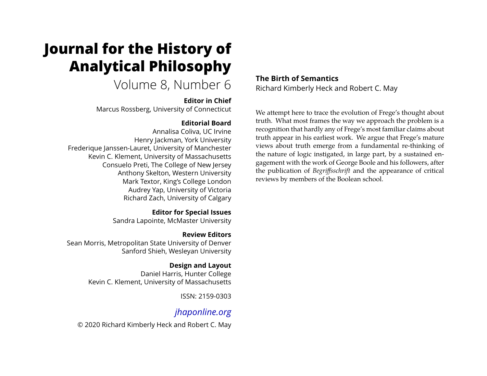# **Journal for the History of Analytical Philosophy**

## Volume 8, Number 6

#### **Editor in Chief**

Marcus Rossberg, University of Connecticut

#### **Editorial Board**

Annalisa Coliva, UC Irvine Henry Jackman, York University Frederique Janssen-Lauret, University of Manchester Kevin C. Klement, University of Massachusetts Consuelo Preti, The College of New Jersey Anthony Skelton, Western University Mark Textor, King's College London Audrey Yap, University of Victoria Richard Zach, University of Calgary

> **Editor for Special Issues** Sandra Lapointe, McMaster University

**Review Editors** Sean Morris, Metropolitan State University of Denver Sanford Shieh, Wesleyan University

> **Design and Layout** Daniel Harris, Hunter College Kevin C. Klement, University of Massachusetts

> > ISSN: 2159-0303

### *[jhaponline.org](https://jhaponline.org)*

© 2020 Richard Kimberly Heck and Robert C. May

**The Birth of Semantics** Richard Kimberly Heck and Robert C. May

We attempt here to trace the evolution of Frege's thought about truth. What most frames the way we approach the problem is a recognition that hardly any of Frege's most familiar claims about truth appear in his earliest work. We argue that Frege's mature views about truth emerge from a fundamental re-thinking of the nature of logic instigated, in large part, by a sustained engagement with the work of George Boole and his followers, after the publication of *Begriffsschrift* and the appearance of critical reviews by members of the Boolean school.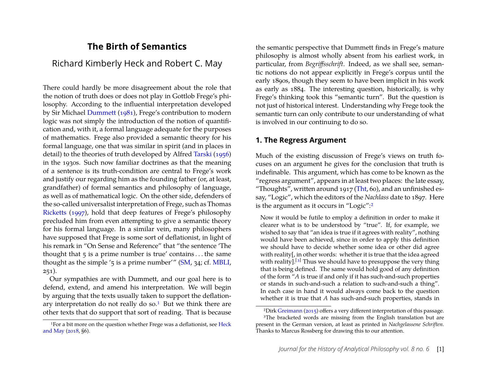#### **The Birth of Semantics**

#### Richard Kimberly Heck and Robert C. May

There could hardly be more disagreement about the role that the notion of truth does or does not play in Gottlob Frege's philosophy. According to the influential interpretation developed by Sir Michael [Dummett](#page-28-0) [\(1981\)](#page-28-0), Frege's contribution to modern logic was not simply the introduction of the notion of quantification and, with it, a formal language adequate for the purposes of mathematics. Frege also provided a semantic theory for his formal language, one that was similar in spirit (and in places in detail) to the theories of truth developed by Alfred [Tarski](#page-31-0) [\(1956\)](#page-31-0) in the 1930s. Such now familiar doctrines as that the meaning of a sentence is its truth-condition are central to Frege's work and justify our regarding him as the founding father (or, at least, grandfather) of formal semantics and philosophy of language, as well as of mathematical logic. On the other side, defenders of the so-called universalist interpretation of Frege, such as Thomas [Ricketts](#page-31-1) [\(1997\)](#page-31-1), hold that deep features of Frege's philosophy precluded him from even attempting to give a semantic theory for his formal language. In a similar vein, many philosophers have supposed that Frege is some sort of deflationist, in light of his remark in "On Sense and Reference" that "the sentence 'The thought that  $\frac{1}{5}$  is a prime number is true' contains ... the same thought as the simple '5 is a prime number'" [\(SM,](#page-29-0) 34; cf. [MBLI,](#page-29-1)  $251$ ).

Our sympathies are with Dummett, and our goal here is to defend, extend, and amend his interpretation. We will begin by arguing that the texts usually taken to support the deflation-ary interpretation do not really do so.<sup>[1](#page-1-0)</sup> But we think there are other texts that do support that sort of reading. That is because

the semantic perspective that Dummett finds in Frege's mature philosophy is almost wholly absent from his earliest work, in particular, from *Begriffsschrift*. Indeed, as we shall see, semantic notions do not appear explicitly in Frege's corpus until the early 1890s, though they seem to have been implicit in his work as early as 1884. The interesting question, historically, is why Frege's thinking took this "semantic turn". But the question is not just of historical interest. Understanding why Frege took the semantic turn can only contribute to our understanding of what is involved in our continuing to do so.

#### **1. The Regress Argument**

Much of the existing discussion of Frege's views on truth focuses on an argument he gives for the conclusion that truth is indefinable. This argument, which has come to be known as the "regress argument", appears in at least two places: the late essay, "Thoughts", written around  $1917$  [\(Tht,](#page-29-2) 60), and an unfinished essay, "Logic", which the editors of the *Nachlass* date to 1897. Here is the argument as it occurs in "Logic":[2](#page-1-1)

Now it would be futile to employ a definition in order to make it clearer what is to be understood by "true". If, for example, we wished to say that "an idea is true if it agrees with reality", nothing would have been achieved, since in order to apply this definition we should have to decide whether some idea or other did agree with reality[, in other words: whether it is true that the idea agreed with reality].<sup>[[3](#page-1-2)]</sup> Thus we should have to presuppose the very thing that is being defined. The same would hold good of any definition of the form "*A* is true if and only if it has such-and-such properties or stands in such-and-such a relation to such-and-such a thing". In each case in hand it would always come back to the question whether it is true that *A* has such-and-such properties, stands in

<span id="page-1-0"></span><sup>&</sup>lt;sup>1</sup>For a bit more on the question whether Frege was a deflationist, see [Heck](#page-30-0) [and May](#page-30-0) [\(2018,](#page-30-0) §6).

<span id="page-1-2"></span><span id="page-1-1"></span><sup>2</sup>Dirk [Greimann](#page-29-3) [\(2015\)](#page-29-3) offers a very different interpretation of this passage. <sup>3</sup>The bracketed words are missing from the English translation but are present in the German version, at least as printed in *Nachgelassene Schriften*. Thanks to Marcus Rossberg for drawing this to our attention.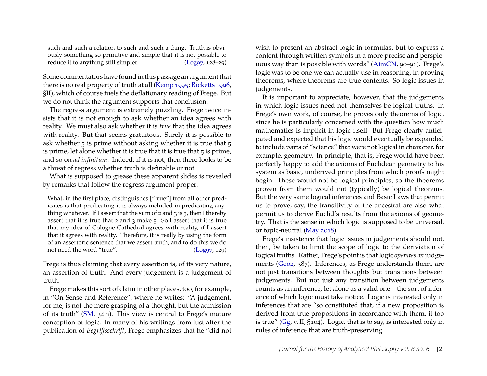such-and-such a relation to such-and-such a thing. Truth is obviously something so primitive and simple that it is not possible to reduce it to anything still simpler. [\(Log97,](#page-29-4) 128-29)

Some commentators have found in this passage an argument that there is no real property of truth at all [\(Kemp 1995;](#page-30-1) [Ricketts 1996,](#page-31-2) §II), which of course fuels the deflationary reading of Frege. But we do not think the argument supports that conclusion.

The regress argument is extremely puzzling. Frege twice insists that it is not enough to ask whether an idea agrees with reality. We must also ask whether it is *true* that the idea agrees with reality. But that seems gratuitous. Surely it is possible to ask whether 5 is prime without asking whether it is true that 5 is prime, let alone whether it is true that it is true that  $\frac{1}{5}$  is prime, and so on *ad infinitum*. Indeed, if it is not, then there looks to be a threat of regress whether truth is definable or not.

What is supposed to grease these apparent slides is revealed by remarks that follow the regress argument proper:

What, in the first place, distinguishes ["true"] from all other predicates is that predicating it is always included in predicating anything whatever. If I assert that the sum of  $2$  and  $3$  is  $5$ , then I thereby assert that it is true that 2 and 3 make 5. So I assert that it is true that my idea of Cologne Cathedral agrees with reality, if I assert that it agrees with reality. Therefore, it is really by using the form of an assertoric sentence that we assert truth, and to do this we do not need the word "true". [\(Log97,](#page-29-4) 129)

Frege is thus claiming that every assertion is, of its very nature, an assertion of truth. And every judgement is a judgement of truth.

Frege makes this sort of claim in other places, too, for example, in "On Sense and Reference", where he writes: "A judgement, for me, is not the mere grasping of a thought, but the admission of its truth" [\(SM,](#page-29-0) 34 n). This view is central to Frege's mature conception of logic. In many of his writings from just after the publication of *Begriffsschrift*, Frege emphasizes that he "did not

wish to present an abstract logic in formulas, but to express a content through written symbols in a more precise and perspicuous way than is possible with words" [\(AimCN,](#page-28-1) 90–91). Frege's logic was to be one we can actually use in reasoning, in proving theorems, where theorems are true contents. So logic issues in judgements.

It is important to appreciate, however, that the judgements in which logic issues need not themselves be logical truths. In Frege's own work, of course, he proves only theorems of logic, since he is particularly concerned with the question how much mathematics is implicit in logic itself. But Frege clearly anticipated and expected that his logic would eventually be expanded to include parts of "science" that were not logical in character, for example, geometry. In principle, that is, Frege would have been perfectly happy to add the axioms of Euclidean geometry to his system as basic, underived principles from which proofs might begin. These would not be logical principles, so the theorems proven from them would not (typically) be logical theorems. But the very same logical inferences and Basic Laws that permit us to prove, say, the transitivity of the ancestral are also what permit us to derive Euclid's results from the axioms of geometry. That is the sense in which logic is supposed to be universal, or topic-neutral [\(May 2018\)](#page-30-2).

Frege's insistence that logic issues in judgements should not, then, be taken to limit the scope of logic to the deriviation of logical truths. Rather, Frege's point is that logic *operates on* judgements [\(Geo2,](#page-29-5) 387). Inferences, as Frege understands them, are not just transitions between thoughts but transitions between judgements. But not just any transition between judgements counts as an inference, let alone as a valid one—the sort of inference of which logic must take notice. Logic is interested only in inferences that are "so constituted that, if a new proposition is derived from true propositions in accordance with them, it too is true" [\(Gg,](#page-29-6) v. II, §104). Logic, that is to say, is interested only in rules of inference that are truth-preserving.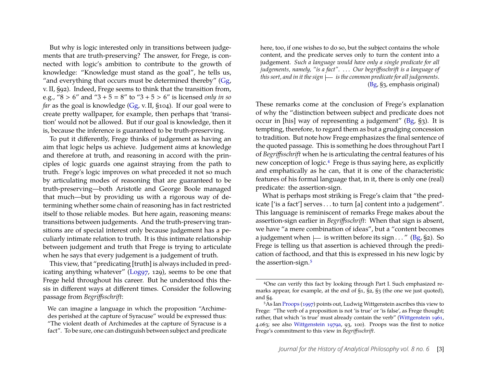But why is logic interested only in transitions between judgements that are truth-preserving? The answer, for Frege, is connected with logic's ambition to contribute to the growth of knowledge: "Knowledge must stand as the goal", he tells us, "and everything that occurs must be determined thereby" [\(Gg,](#page-29-6) v. II, §92). Indeed, Frege seems to think that the transition from, e.g., " $8 > 6$ " and " $3 + 5 = 8$ " to " $3 + 5 > 6$ " is licensed *only in so far* as the goal is knowledge [\(Gg,](#page-29-6) v. II, §104). If our goal were to create pretty wallpaper, for example, then perhaps that 'transition' would not be allowed. But if our goal is knowledge, then it is, because the inference is guaranteed to be truth-preserving.

To put it differently, Frege thinks of judgement as having an aim that logic helps us achieve. Judgement aims at knowledge and therefore at truth, and reasoning in accord with the principles of logic guards one against straying from the path to truth. Frege's logic improves on what preceded it not so much by articulating modes of reasoning that are guaranteed to be truth-preserving—both Aristotle and George Boole managed that much—but by providing us with a rigorous way of determining whether some chain of reasoning has in fact restricted itself to those reliable modes. But here again, reasoning means: transitions between judgements. And the truth-preserving transitions are of special interest only because judgement has a peculiarly intimate relation to truth. It is this intimate relationship between judgement and truth that Frege is trying to articulate when he says that every judgement is a judgement of truth.

This view, that "predicating [truth] is always included in pred-icating anything whatever" [\(Log97,](#page-29-4) 129), seems to be one that Frege held throughout his career. But he understood this thesis in different ways at different times. Consider the following passage from *Begriffsschrift*:

here, too, if one wishes to do so, but the subject contains the whole content, and the predicate serves only to turn the content into a judgement. *Such a language would have only a single predicate for all judgements, namely, "is a fact"*. . . . *Our begriffsschrift is a language of this sort, and in it the sign is the common predicate for all judgements*. [\(Bg,](#page-29-7) §3, emphasis original)

These remarks come at the conclusion of Frege's explanation of why the "distinction between subject and predicate does not occur in [his] way of representing a judgement" [\(Bg,](#page-29-7) §3). It is tempting, therefore, to regard them as but a grudging concession to tradition. But note how Frege emphasizes the final sentence of the quoted passage. This is something he does throughout Part I of *Begriffsschrift* when he is articulating the central features of his new conception of logic.[4](#page-3-0) Frege is thus saying here, as explicitly and emphatically as he can, that it is one of the characteristic features of his formal language that, in it, there is only one (real) predicate: the assertion-sign.

What is perhaps most striking is Frege's claim that "the predicate ['is a fact'] serves . . . to turn [a] content into a judgement". This language is reminiscent of remarks Frege makes about the assertion-sign earlier in *Begriffsschrift*: When that sign is absent, we have "a mere combination of ideas", but a "content becomes a judgement when  $\mu$  is written before its sign . . . " [\(Bg,](#page-29-7) §2). So Frege is telling us that assertion is achieved through the predication of facthood, and that this is expressed in his new logic by the assertion-sign.<sup>[5](#page-3-1)</sup>

We can imagine a language in which the proposition "Archimedes perished at the capture of Syracuse" would be expressed thus: "The violent death of Archimedes at the capture of Syracuse is a fact". To be sure, one can distinguish between subject and predicate

<span id="page-3-0"></span><sup>4</sup>One can verify this fact by looking through Part I. Such emphasized remarks appear, for example, at the end of §1, §2, §3 (the one we just quoted), and §4.

<span id="page-3-1"></span><sup>5</sup>As Ian [Proops](#page-31-3) [\(1997\)](#page-31-3) points out, Ludwig Wittgenstein ascribes this view to Frege: "The verb of a proposition is not 'is true' or 'is false', as Frege thought; rather, that which 'is true' must already contain the verb" [\(Wittgenstein 1961,](#page-31-4) 4.063; see also [Wittgenstein 1979a,](#page-31-5) 93, 100). Proops was the first to notice Frege's commitment to this view in *Begriffsschrift*.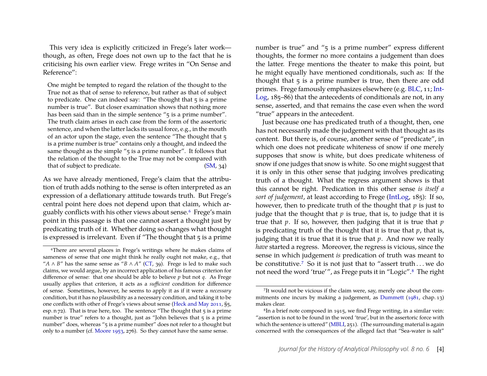This very idea is explicitly criticized in Frege's later work though, as often, Frege does not own up to the fact that he is criticising his own earlier view. Frege writes in "On Sense and Reference":

One might be tempted to regard the relation of the thought to the True not as that of sense to reference, but rather as that of subject to predicate. One can indeed say: "The thought that  $5$  is a prime number is true". But closer examination shows that nothing more has been said than in the simple sentence "5 is a prime number". The truth claim arises in each case from the form of the assertoric sentence, and when the latter lacks its usual force, e.g., in the mouth of an actor upon the stage, even the sentence "The thought that 5 is a prime number is true" contains only a thought, and indeed the same thought as the simple "5 is a prime number". It follows that the relation of the thought to the True may not be compared with that of subject to predicate. [\(SM,](#page-29-0) 34)

As we have already mentioned, Frege's claim that the attribution of truth adds nothing to the sense is often interpreted as an expression of a deflationary attitude towards truth. But Frege's central point here does not depend upon that claim, which arguably conflicts with his other views about sense.[6](#page-4-0) Frege's main point in this passage is that one cannot assert a thought just by predicating truth of it. Whether doing so changes what thought is expressed is irrelevant. Even if "The thought that  $\frac{1}{5}$  is a prime

number is true" and "5 is a prime number" express different thoughts, the former no more contains a judgement than does the latter. Frege mentions the theater to make this point, but he might equally have mentioned conditionals, such as: If the thought that 5 is a prime number is true, then there are odd primes. Frege famously emphasizes elsewhere (e.g. [BLC,](#page-29-9) 11; [Int-](#page-29-10)[Log,](#page-29-10) 185–86) that the antecedents of conditionals are not, in any sense, asserted, and that remains the case even when the word "true" appears in the antecedent.

Just because one has predicated truth of a thought, then, one has not necessarily made the judgement with that thought as its content. But there is, of course, another sense of "predicate", in which one does not predicate whiteness of snow if one merely supposes that snow is white, but does predicate whiteness of snow if one judges that snow is white. So one might suggest that it is only in this other sense that judging involves predicating truth of a thought. What the regress argument shows is that this cannot be right. Predication in this other sense *is itself a sort of judgement*, at least according to Frege [\(IntLog,](#page-29-10) 185): If so, however, then to predicate truth of the thought that *p* is just to judge that the thought that  $p$  is true, that is, to judge that it is true that *p*. If so, however, then judging that it is true that *p* is predicating truth of the thought that it is true that *p*, that is, judging that it is true that it is true that *p*. And now we really *have* started a regress. Moreover, the regress is vicious, since the sense in which judgement *is* predication of truth was meant to be constitutive.[7](#page-4-1) So it is not just that to "assert truth . . . we do not need the word 'true'", as Frege puts it in "Logic".[8](#page-4-2) The right

<span id="page-4-0"></span><sup>6</sup>There are several places in Frege's writings where he makes claims of sameness of sense that one might think he really ought not make, e.g., that " $A \wedge B$ " has the same sense as " $B \wedge A$ " ( $CT$ , 39). Frege is led to make such claims, we would argue, by an incorrect application of his famous criterion for difference of sense: that one should be able to believe *p* but not *q*. As Frege usually applies that criterion, it acts as a *sufficient* condition for difference of sense. Sometimes, however, he seems to apply it as if it were a *necessary* condition, but it has no plausibility as a necessary condition, and taking it to be one conflicts with other of Frege's views about sense [\(Heck and May 2011,](#page-30-3) §5, esp.  $n$   $72$ ). That is true here, too. The sentence "The thought that  $5$  is a prime number is true" refers to a thought, just as "John believes that  $\frac{1}{5}$  is a prime number" does, whereas "5 is a prime number" does not refer to a thought but only to a number (cf. [Moore 1953,](#page-31-6) 276). So they cannot have the same sense.

<span id="page-4-1"></span><sup>&</sup>lt;sup>7</sup>It would not be vicious if the claim were, say, merely one about the commitments one incurs by making a judgement, as [Dummett](#page-28-0) [\(1981,](#page-28-0) chap. 13) makes clear.

<span id="page-4-2"></span><sup>8</sup>In a brief note composed in 1915, we find Frege writing, in a similar vein: "assertion is not to be found in the word 'true', but in the assertoric force with which the sentence is uttered" [\(MBLI,](#page-29-1) 251). (The surrounding material is again concerned with the consequences of the alleged fact that "Sea-water is salt"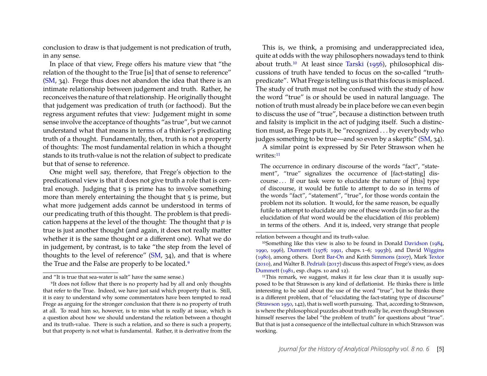conclusion to draw is that judgement is not predication of truth, in any sense.

In place of that view, Frege offers his mature view that "the relation of the thought to the True [is] that of sense to reference" [\(SM,](#page-29-0) 34). Frege thus does not abandon the idea that there is an intimate relationship between judgement and truth. Rather, he reconceives the nature of that relationship. He originally thought that judgement was predication of truth (or facthood). But the regress argument refutes that view: Judgement might in some sense involve the acceptance of thoughts "as true", but we cannot understand what that means in terms of a thinker's predicating truth of a thought. Fundamentally, then, truth is not a property of thoughts: The most fundamental relation in which a thought stands to its truth-value is not the relation of subject to predicate but that of sense to reference.

One might well say, therefore, that Frege's objection to the predicational view is that it does not give truth a role that is central enough. Judging that 5 is prime has to involve something more than merely entertaining the thought that 5 is prime, but what more judgement adds cannot be understood in terms of our predicating truth of this thought. The problem is that predication happens at the level of the thought: The thought that *p* is true is just another thought (and again, it does not really matter whether it is the same thought or a different one). What we do in judgement, by contrast, is to take "the step from the level of thoughts to the level of reference" [\(SM,](#page-29-0) 34), and that is where the True and the False are properly to be located.<sup>[9](#page-5-0)</sup>

This is, we think, a promising and underappreciated idea, quite at odds with the way philosophers nowadays tend to think about truth.[10](#page-5-1) At least since [Tarski](#page-31-0) [\(1956\)](#page-31-0), philosophical discussions of truth have tended to focus on the so-called "truthpredicate". What Frege is telling us is that this focus is misplaced. The study of truth must not be confused with the study of how the word "true" is or should be used in natural language. The notion of truth must already be in place before we can even begin to discuss the use of "true", because a distinction between truth and falsity is implicit in the act of judging itself. Such a distinction must, as Frege puts it, be "recognized . . . by everybody who judges something to be true—and so even by a skeptic" [\(SM,](#page-29-0) 34).

A similar point is expressed by Sir Peter Strawson when he writes:<sup>[11](#page-5-2)</sup>

The occurrence in ordinary discourse of the words "fact", "statement", "true" signalizes the occurrence of [fact-stating] discourse . . . If our task were to elucidate the nature of [this] type of discourse, it would be futile to attempt to do so in terms of the words "fact", "statement", "true", for those words contain the problem not its solution. It would, for the same reason, be equally futile to attempt to elucidate any one of these words (in so far as the elucidation of *that* word would be the elucidation of *this* problem) in terms of the others. And it is, indeed, very strange that people

<span id="page-5-2"></span>11This remark, we suggest, makes it far less clear than it is usually supposed to be that Strawson is any kind of deflationist. He thinks there is little interesting to be said about the use of the word "true", but he thinks there is a different problem, that of "elucidating the fact-stating type of discourse" [\(Strawson 1950,](#page-31-10) 142), that is well worth pursuing. That, according to Strawson, is where the philosophical puzzles about truth really lie, even though Strawson himself reserves the label "the problem of truth" for questions about "true". But that is just a consequence of the intellectual culture in which Strawson was working.

and "It is true that sea-water is salt" have the same sense.)

<span id="page-5-0"></span><sup>9</sup>It does not follow that there is no property had by all and only thoughts that refer to the True. Indeed, we have just said which property that is. Still, it is easy to understand why some commentators have been tempted to read Frege as arguing for the stronger conclusion that there is no property of truth at all. To read him so, however, is to miss what is really at issue, which is a question about how we should understand the relation between a thought and its truth-value. There is such a relation, and so there is such a property, but that property is not what is fundamental. Rather, it is derivative from the

relation between a thought and its truth-value.

<span id="page-5-1"></span><sup>10</sup>Something like this view is also to be found in Donald [Davidson](#page-28-2) [\(1984,](#page-28-2) [1990,](#page-28-3) [1996\)](#page-28-4), [Dummett](#page-28-5) [\(1978;](#page-28-5) [1991,](#page-28-6) chaps. 1–6; [1993b\)](#page-28-7), and David [Wiggins](#page-31-7) [\(1980\)](#page-31-7), among others. Dorit [Bar-On](#page-28-8) and Keith [Simmons](#page-28-8) [\(2007\)](#page-28-8), Mark [Textor](#page-31-8) [\(2010\)](#page-31-8), and Walter B. [Pedriali](#page-31-9) [\(2017\)](#page-31-9) discuss this aspect of Frege's view, as does [Dummett](#page-28-0) [\(1981,](#page-28-0) esp. chaps. 10 and 12).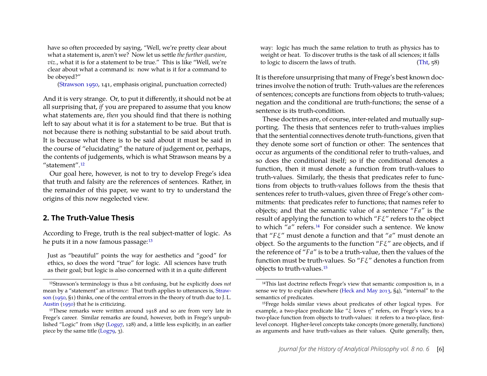have so often proceeded by saying, "Well, we're pretty clear about what a statement is, aren't we? Now let us settle *the further question*, *viz*., what it is for a statement to be true." This is like "Well, we're clear about what a command is: now what is it for a command to be obeyed?"

[\(Strawson 1950,](#page-31-10) 141, emphasis original, punctuation corrected)

And it is very strange. Or, to put it differently, it should not be at all surprising that, *if* you are prepared to assume that you know what statements are, *then* you should find that there is nothing left to say about what it is for a statement to be true. But that is not because there is nothing substantial to be said about truth. It is because what there is to be said about it must be said in the course of "elucidating" the nature of judgement or, perhaps, the contents of judgements, which is what Strawson means by a "statement".[12](#page-6-0)

Our goal here, however, is not to try to develop Frege's idea that truth and falsity are the references of sentences. Rather, in the remainder of this paper, we want to try to understand the origins of this now negelected view.

#### **2. The Truth-Value Thesis**

According to Frege, truth is the real subject-matter of logic. As he puts it in a now famous passage:[13](#page-6-1)

Just as "beautiful" points the way for aesthetics and "good" for ethics, so does the word "true" for logic. All sciences have truth as their goal; but logic is also concerned with it in a quite different

way: logic has much the same relation to truth as physics has to weight or heat. To discover truths is the task of all sciences; it falls to logic to discern the laws of truth. [\(Tht,](#page-29-2) 58)

It is therefore unsurprising that many of Frege's best known doctrines involve the notion of truth: Truth-values are the references of sentences; concepts are functions from objects to truth-values; negation and the conditional are truth-functions; the sense of a sentence is its truth-condition.

These doctrines are, of course, inter-related and mutually supporting. The thesis that sentences refer to truth-values implies that the sentential connectives denote truth-functions, given that they denote some sort of function or other: The sentences that occur as arguments of the conditional refer to truth-values, and so does the conditional itself; so if the conditional denotes a function, then it must denote a function from truth-values to truth-values. Similarly, the thesis that predicates refer to functions from objects to truth-values follows from the thesis that sentences refer to truth-values, given three of Frege's other commitments: that predicates refer to functions; that names refer to objects; and that the semantic value of a sentence "*Fa*" is the result of applying the function to which "*F*ξ" refers to the object to which "*a*" refers.[14](#page-6-2) For consider such a sentence. We know that "*F*ξ" must denote a function and that "*a*" must denote an object. So the arguments to the function "*F*ξ" are objects, and if the reference of "*Fa*" is to be a truth-value, then the values of the function must be truth-values. So "*F*ξ" denotes a function from objects to truth-values.[15](#page-6-3)

<span id="page-6-0"></span><sup>12</sup>Strawson's terminology is thus a bit confusing, but he explicitly does *not* mean by a "statement" an *utterance*: That truth applies to utterances is, [Straw](#page-31-10)[son](#page-31-10) [\(1950,](#page-31-10) §1) thinks, one of the central errors in the theory of truth due to J. L. [Austin](#page-28-9) [\(1950\)](#page-28-9) that he is criticizing.

<span id="page-6-1"></span><sup>&</sup>lt;sup>13</sup>These remarks were written around 1918 and so are from very late in Frege's career. Similar remarks are found, however, both in Frege's unpublished "Logic" from 1897 [\(Log97,](#page-29-4) 128) and, a little less explicitly, in an earlier piece by the same title  $(Log79, 3)$ .

<span id="page-6-2"></span><sup>14</sup>This last doctrine reflects Frege's view that semantic composition is, in a sense we try to explain elsewhere [\(Heck and May 2013,](#page-30-4) §4), "internal" to the semantics of predicates.

<span id="page-6-3"></span><sup>15</sup>Frege holds similar views about predicates of other logical types. For example, a two-place predicate like "ξ loves  $\eta$ " refers, on Frege's view, to a two-place function from objects to truth-values: it refers to a two-place, firstlevel concept. Higher-level concepts take concepts (more generally, functions) as arguments and have truth-values as their values. Quite generally, then,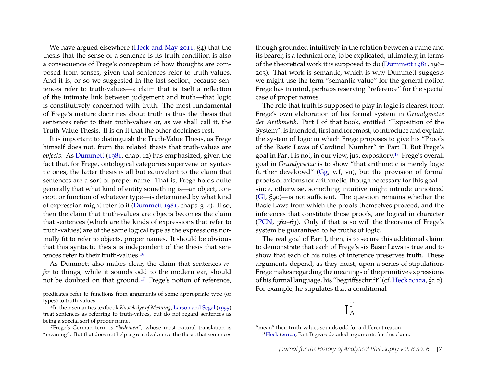We have argued elsewhere [\(Heck and May 2011,](#page-30-3) §4) that the thesis that the sense of a sentence is its truth-condition is also a consequence of Frege's conception of how thoughts are composed from senses, given that sentences refer to truth-values. And it is, or so we suggested in the last section, because sentences refer to truth-values—a claim that is itself a reflection of the intimate link between judgement and truth—that logic is constitutively concerned with truth. The most fundamental of Frege's mature doctrines about truth is thus the thesis that sentences refer to their truth-values or, as we shall call it, the Truth-Value Thesis. It is on it that the other doctrines rest.

It is important to distinguish the Truth-Value Thesis, as Frege himself does not, from the related thesis that truth-values are *objects*. As [Dummett](#page-28-0) [\(1981,](#page-28-0) chap. 12) has emphasized, given the fact that, for Frege, ontological categories supervene on syntactic ones, the latter thesis is all but equivalent to the claim that sentences are a sort of proper name. That is, Frege holds quite generally that what kind of entity something is—an object, concept, or function of whatever type—is determined by what kind of expression might refer to it [\(Dummett 1981,](#page-28-0) chaps. 3–4). If so, then the claim that truth-values are objects becomes the claim that sentences (which are the kinds of expressions that refer to truth-values) are of the same logical type as the expressions normally fit to refer to objects, proper names. It should be obvious that this syntactic thesis is independent of the thesis that sentences refer to their truth-values.[16](#page-7-0)

As Dummett also makes clear, the claim that sentences *refer* to things, while it sounds odd to the modern ear, should not be doubted on that ground.[17](#page-7-1) Frege's notion of reference, though grounded intuitively in the relation between a name and its bearer, is a technical one, to be explicated, ultimately, in terms of the theoretical work it is supposed to do [\(Dummett 1981,](#page-28-0) 196– 203). That work is semantic, which is why Dummett suggests we might use the term "semantic value" for the general notion Frege has in mind, perhaps reserving "reference" for the special case of proper names.

The role that truth is supposed to play in logic is clearest from Frege's own elaboration of his formal system in *Grundgesetze der Arithmetik*. Part I of that book, entitled "Exposition of the System", is intended, first and foremost, to introduce and explain the system of logic in which Frege proposes to give his "Proofs of the Basic Laws of Cardinal Number" in Part II. But Frege's goal in Part I is not, in our view, just expository.[18](#page-7-2) Frege's overall goal in *Grundgesetze* is to show "that arithmetic is merely logic further developed" [\(Gg,](#page-29-6) v.I, vII), but the provision of formal proofs of axioms for arithmetic, though necessary for this goal since, otherwise, something intuitive might intrude unnoticed [\(Gl,](#page-29-12) §90)—is not sufficient. The question remains whether the Basic Laws from which the proofs themselves proceed, and the inferences that constitute those proofs, are logical in character [\(PCN,](#page-29-13) 362–63). Only if that is so will the theorems of Frege's system be guaranteed to be truths of logic.

The real goal of Part I, then, is to secure this additional claim: to demonstrate that each of Frege's six Basic Laws is true and to show that each of his rules of inference preserves truth. These arguments depend, as they must, upon a series of stipulations Frege makes regarding the meanings of the primitive expressions of his formal language, his "begriffsschrift" (cf. [Heck 2012a,](#page-30-6) §2.2). For example, he stipulates that a conditional

predicates refer to functions from arguments of some appropriate type (or types) to truth-values.

<span id="page-7-0"></span><sup>16</sup>In their semantics textbook *Knowledge of Meaning*, [Larson and Segal](#page-30-5) [\(1995\)](#page-30-5) treat sentences as referring to truth-values, but do not regard sentences as being a special sort of proper name.

<span id="page-7-1"></span><sup>17</sup>Frege's German term is "*bedeuten*", whose most natural translation is "meaning". But that does not help a great deal, since the thesis that sentences

<span id="page-7-2"></span><sup>&</sup>quot;mean" their truth-values sounds odd for a different reason. 18[Heck](#page-30-6) [\(2012a,](#page-30-6) Part I) gives detailed arguments for this claim.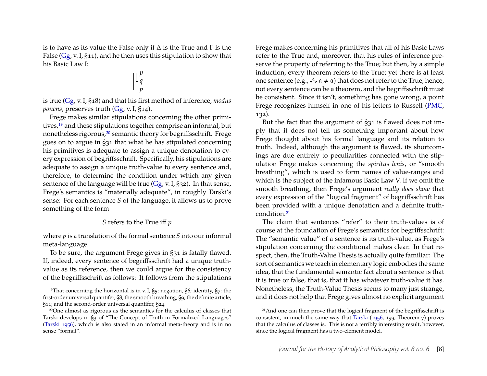is to have as its value the False only if  $\Delta$  is the True and  $\Gamma$  is the False [\(Gg,](#page-29-6) v. I, §11), and he then uses this stipulation to show that his Basic Law I:

$$
\mathbb{T}_q^p
$$

is true [\(Gg,](#page-29-6) v. I, §18) and that his first method of inference, *modus ponens*, preserves truth [\(Gg,](#page-29-6) v. I, §14).

Frege makes similar stipulations concerning the other primi-tives,<sup>[19](#page-8-0)</sup> and these stipulations together comprise an informal, but nonetheless rigorous,[20](#page-8-1) semantic theory for begriffsschrift. Frege goes on to argue in §31 that what he has stipulated concerning his primitives is adequate to assign a unique denotation to every expression of begriffsschrift. Specifically, his stipulations are adequate to assign a unique truth-value to every sentence and, therefore, to determine the condition under which any given sentence of the language will be true  $(Gg, v, I, S32)$ . In that sense, Frege's semantics is "materially adequate", in roughly Tarski's sense: For each sentence *S* of the language, it allows us to prove something of the form

#### *S* refers to the True iff *p*

where *p* is a translation of the formal sentence *S* into our informal meta-language.

To be sure, the argument Frege gives in §31 is fatally flawed. If, indeed, every sentence of begriffsschrift had a unique truthvalue as its reference, then we could argue for the consistency of the begriffsschrift as follows: It follows from the stipulations

Frege makes concerning his primitives that all of his Basic Laws refer to the True and, moreover, that his rules of inference preserve the property of referring to the True; but then, by a simple induction, every theorem refers to the True; yet there is at least one sentence (e.g.,  $\mathcal{L}$   $\alpha \neq \alpha$ ) that does not refer to the True; hence, not every sentence can be a theorem, and the begriffsschrift must be consistent. Since it isn't, something has gone wrong, a point Frege recognizes himself in one of his letters to Russell [\(PMC,](#page-29-14) 132).

But the fact that the argument of §31 is flawed does not imply that it does not tell us something important about how Frege thought about his formal language and its relation to truth. Indeed, although the argument is flawed, its shortcomings are due entirely to peculiarities connected with the stipulation Frege makes concerning the *spiritus lenis*, or "smooth breathing", which is used to form names of value-ranges and which is the subject of the infamous Basic Law V. If we omit the smooth breathing, then Frege's argument *really does show* that every expression of the "logical fragment" of begriffsschrift has been provided with a unique denotation and a definite truthcondition.[21](#page-8-2)

The claim that sentences "refer" to their truth-values is of course at the foundation of Frege's semantics for begriffsschrift: The "semantic value" of a sentence is its truth-value, as Frege's stipulation concerning the conditional makes clear. In that respect, then, the Truth-Value Thesis is actually quite familiar: The sort of semantics we teach in elementary logic embodies the same idea, that the fundamental semantic fact about a sentence is that it is true or false, that is, that it has whatever truth-value it has. Nonetheless, the Truth-Value Thesis seems to many just strange, and it does not help that Frege gives almost no explicit argument

<span id="page-8-0"></span><sup>&</sup>lt;sup>19</sup>That concerning the horizontal is in v. I,  $\S$ 5; negation,  $\S$ 6; identity,  $\S$ 7; the first-order universal quantifer, §8; the smooth breathing, §9; the definite article, §11; and the second-order universal quantifer, §24.

<span id="page-8-1"></span><sup>20</sup>One almost as rigorous as the semantics for the calculus of classes that Tarski develops in §3 of "The Concept of Truth in Formalized Languages" [\(Tarski 1956\)](#page-31-0), which is also stated in an informal meta-theory and is in no sense "formal".

<span id="page-8-2"></span><sup>&</sup>lt;sup>21</sup>And one can then prove that the logical fragment of the begriffsschrift is consistent, in much the same way that [Tarski](#page-31-0) [\(1956,](#page-31-0) 199, Theorem 7) proves that the calculus of classes is. This is not a terribly interesting result, however, since the logical fragment has a two-element model.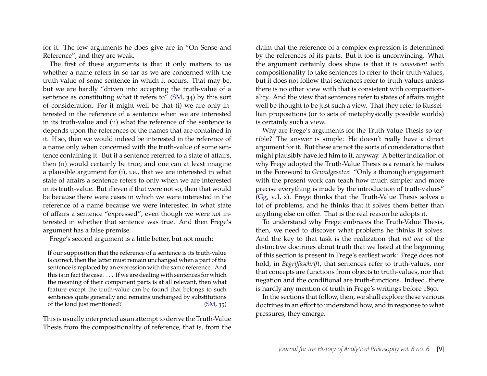for it. The few arguments he does give are in "On Sense and Reference", and they are weak.

The first of these arguments is that it only matters to us whether a name refers in so far as we are concerned with the truth-value of some sentence in which it occurs. That may be, but we are hardly "driven into accepting the truth-value of a sentence as constituting what it refers to" [\(SM,](#page-29-0) 34) by this sort of consideration. For it might well be that (i) we are only interested in the reference of a sentence when we are interested in its truth-value and (ii) what the reference of the sentence is depends upon the references of the names that are contained in it. If so, then we would indeed be interested in the reference of a name only when concerned with the truth-value of some sentence containing it. But if a sentence referred to a state of affairs, then (ii) would certainly be true, and one can at least imagine a plausible argument for (i), i.e., that we are interested in what state of affairs a sentence refers to only when we are interested in its truth-value. But if even if that were not so, then that would be because there were cases in which we were interested in the reference of a name because we were interested in what state of affairs a sentence "expressed", even though we were *not* interested in whether that sentence was true. And then Frege's argument has a false premise.

Frege's second argument is a little better, but not much:

If our supposition that the reference of a sentence is its truth-value is correct, then the latter must remain unchanged when a part of the sentence is replaced by an expression with the same reference. And this is in fact the case. . . . If we are dealing with sentences for which the meaning of their component parts is at all relevant, then what feature except the truth-value can be found that belongs to such sentences quite generally and remains unchanged by substitutions of the kind just mentioned? [\(SM,](#page-29-0) 35)

This is usually interpreted as an attempt to derive the Truth-Value Thesis from the compositionality of reference, that is, from the

claim that the reference of a complex expression is determined by the references of its parts. But it too is unconvincing. What the argument certainly does show is that it is *consistent* with compositionality to take sentences to refer to their truth-values, but it does not follow that sentences refer to truth-values unless there is no other view with that is consistent with compositionality. And the view that sentences refer to states of affairs might well be thought to be just such a view. That they refer to Russellian propositions (or to sets of metaphysically possible worlds) is certainly such a view.

Why are Frege's arguments for the Truth-Value Thesis so terrible? The answer is simple: He doesn't really have a direct argument for it. But these are not the sorts of considerations that might plausibly have led him to it, anyway. A better indication of why Frege adopted the Truth-Value Thesis is a remark he makes in the Foreword to *Grundgesetze*: "Only a thorough engagement with the present work can teach how much simpler and more precise everything is made by the introduction of truth-values" [\(Gg,](#page-29-6) v. I, x). Frege thinks that the Truth-Value Thesis solves a lot of problems, and he thinks that it solves them better than anything else on offer. That is the real reason he adopts it.

To understand why Frege embraces the Truth-Value Thesis, then, we need to discover what problems he thinks it solves. And the key to that task is the realization that *not one* of the distinctive doctrines about truth that we listed at the beginning of this section is present in Frege's earliest work: Frege does not hold, in *Begriffsschrift*, that sentences refer to truth-values, nor that concepts are functions from objects to truth-values, nor that negation and the conditional are truth-functions. Indeed, there is hardly any mention of truth in Frege's writings before 1890.

In the sections that follow, then, we shall explore these various doctrines in an effort to understand how, and in response to what pressures, they emerge.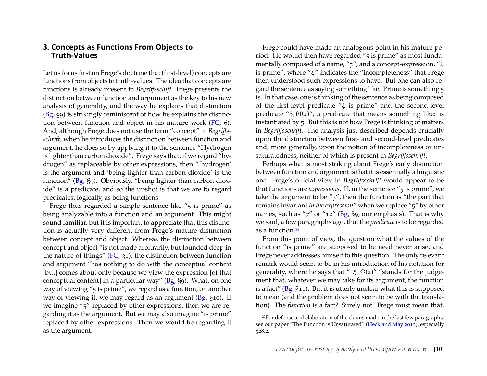#### <span id="page-10-1"></span>**3. Concepts as Functions From Objects to Truth-Values**

Let us focus first on Frege's doctrine that (first-level) concepts are functions from objects to truth-values. The idea that concepts are functions is already present in *Begriffsschift*. Frege presents the distinction between function and argument as the key to his new analysis of generality, and the way he explains that distinction [\(Bg,](#page-29-7) §9) is strikingly reminiscent of how he explains the distinction between function and object in his mature work [\(FC,](#page-29-15) 6). And, although Frege does not use the term "concept" in *Begriffsschrift*, when he introduces the distinction between function and argument, he does so by applying it to the sentence "Hydrogen is lighter than carbon dioxide". Frege says that, if we regard "hydrogen" as replaceable by other expressions, then "'hydrogen' is the argument and 'being lighter than carbon dioxide' is the function" [\(Bg,](#page-29-7) §9). Obviously, "being lighter than carbon dioxide" is a predicate, and so the upshot is that we are to regard predicates, logically, as being functions.

Frege thus regarded a simple sentence like "5 is prime" as being analyzable into a function and an argument. This might sound familiar, but it is important to appreciate that this distinction is actually very different from Frege's mature distinction between concept and object. Whereas the distinction between concept and object "is not made arbitrarily, but founded deep in the nature of things" [\(FC,](#page-29-15) 31), the distinction between function and argument "has nothing to do with the conceptual content [but] comes about only because we view the expression [of that conceptual content] in a particular way" [\(Bg,](#page-29-7) §9). What, on one way of viewing "5 is prime", we regard as a function, on another way of viewing it, we may regard as an argument [\(Bg,](#page-29-7) §10). If we imagine "5" replaced by other expressions, then we are regarding it as the argument. But we may also imagine "is prime" replaced by other expressions. Then we would be regarding it as the argument.

Frege could have made an analogous point in his mature period. He would then have regarded "5 is prime" as most fundamentally composed of a name, "5", and a concept-expression, "ξ is prime", where " $\xi$ " indicates the "incompleteness" that Frege then understood such expressions to have. But one can also regard the sentence as saying something like: Prime is something 5 is. In that case, one is thinking of the sentence as being composed of the first-level predicate " $\xi$  is prime" and the second-level predicate " $5_x$ ( $\Phi x$ )", a predicate that means something like: is instantiated by 5. But this is not how Frege is thinking of matters in *Begriffsschrift*. The analysis just described depends crucially upon the distinction between first- and second-level predicates and, more generally, upon the notion of incompleteness or unsaturatedness, neither of which is present in *Begriffsschrift*.

Perhaps what is most striking about Frege's early distinction between function and argument is that it is essentially a linguistic one. Frege's official view in *Begriffsschrift* would appear to be that functions are *expressions*. If, in the sentence "5 is prime", we take the argument to be "5", then the function is "the part that remains invariant *in the expression*" when we replace "5" by other names, such as "7" or "12" [\(Bg,](#page-29-7) §9, our emphasis). That is why we said, a few paragraphs ago, that the *predicate* is to be regarded as a function.[22](#page-10-0)

From this point of view, the question what the values of the function "is prime" are supposed to be need never arise, and Frege never addresses himself to this question. The only relevant remark would seem to be in his introduction of his notation for generality, where he says that " $\uparrow$   $\Phi$ (a)" "stands for the judgement that, whatever we may take for its argument, the function is a fact" [\(Bg,](#page-29-7) §11). But it is utterly unclear what this is supposed to mean (and the problem does not seem to be with the translation). The *function* is a fact? Surely not. Frege must mean that,

<span id="page-10-0"></span><sup>&</sup>lt;sup>22</sup>For defense and elaboration of the claims made in the last few paragraphs, see our paper "The Function is Unsaturated" [\(Heck and May 2013\)](#page-30-4), especially §28.2.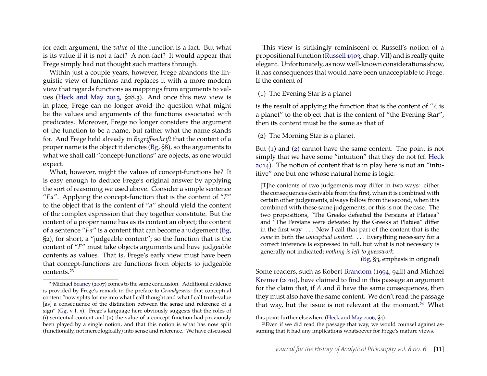for each argument, the *value* of the function is a fact. But what is its value if it is not a fact? A non-fact? It would appear that Frege simply had not thought such matters through.

Within just a couple years, however, Frege abandons the linguistic view of functions and replaces it with a more modern view that regards functions as mappings from arguments to values [\(Heck and May 2013,](#page-30-4) §28.3). And once this new view is in place, Frege can no longer avoid the question what might be the values and arguments of the functions associated with predicates. Moreover, Frege no longer considers the argument of the function to be a name, but rather what the name stands for. And Frege held already in *Begriffsschrift* that the content of a proper name is the object it denotes [\(Bg,](#page-29-7) §8), so the arguments to what we shall call "concept-functions" are objects, as one would expect.

What, however, might the values of concept-functions be? It is easy enough to deduce Frege's original answer by applying the sort of reasoning we used above. Consider a simple sentence "*Fa*". Applying the concept-function that is the content of "*F*" to the object that is the content of "*a*" should yield the content of the complex expression that they together constitute. But the content of a proper name has as its content an object; the content of a sentence "*Fa*" is a content that can become a judgement [\(Bg,](#page-29-7) §2), for short, a "judgeable content"; so the function that is the content of "*F*" must take objects arguments and have judgeable contents as values. That is, Frege's early view must have been that concept-functions are functions from objects to judgeable contents.[23](#page-11-0)

This view is strikingly reminiscent of Russell's notion of a propositional function [\(Russell 1903,](#page-31-11) chap. VII) and is really quite elegant. Unfortunately, as now well-known considerations show, it has consequences that would have been unacceptable to Frege. If the content of

#### (1) The Evening Star is a planet

is the result of applying the function that is the content of " $\xi$  is a planet" to the object that is the content of "the Evening Star", then its content must be the same as that of

(2) The Morning Star is a planet.

But [\(1\)](#page-10-1) and [\(2\)](#page-10-1) cannot have the same content. The point is not simply that we have some "intuition" that they do not (cf. [Heck](#page-30-7) [2014\)](#page-30-7). The notion of content that is in play here is not an "intuitive" one but one whose natural home is logic:

[T]he contents of two judgements may differ in two ways: either the consequences derivable from the first, when it is combined with certain other judgements, always follow from the second, when it is combined with these same judgements, or this is not the case. The two propositions, "The Greeks defeated the Persians at Plataea" and "The Persians were defeated by the Greeks at Plataea" differ in the first way. . . . Now I call that part of the content that is the *same* in both the *conceptual content*. ... Everything necessary for a correct inference is expressed in full, but what is not necessary is generally not indicated; *nothing is left to guesswork*.

[\(Bg,](#page-29-7) §3, emphasis in original)

Some readers, such as Robert [Brandom](#page-28-11) [\(1994,](#page-28-11) 94ff) and Michael [Kremer](#page-30-8) [\(2010\)](#page-30-8), have claimed to find in this passage an argument for the claim that, if *A* and *B* have the same consequences, then they must also have the same content. We don't read the passage that way, but the issue is not relevant at the moment.<sup>[24](#page-11-1)</sup> What

<span id="page-11-0"></span><sup>23</sup>Michael [Beaney](#page-28-10) [\(2007\)](#page-28-10) comes to the same conclusion. Additional evidence is provided by Frege's remark in the preface to *Grundgesetze* that conceptual content "now splits for me into what I call thought and what I call truth-value [as] a consequence of the distinction between the sense and reference of a sign" [\(Gg,](#page-29-6) v. I, x). Frege's language here obviously suggests that the roles of (i) sentential content and (ii) the value of a concept-function had previously been played by a single notion, and that this notion is what has now split (functionally, not mereologically) into sense and reference. We have discussed

this point further elsewhere [\(Heck and May 2006,](#page-30-9) §4).

<span id="page-11-1"></span><sup>24</sup>Even if we did read the passage that way, we would counsel against assuming that it had any implications whatsoever for Frege's mature views.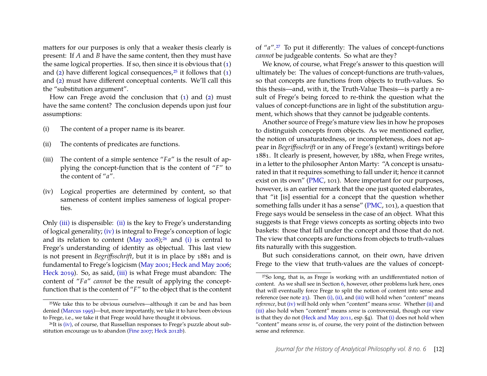matters for our purposes is only that a weaker thesis clearly is present: If *A* and *B* have the same content, then they must have the same logical properties. If so, then since it is obvious that  $(1)$ and [\(2\)](#page-10-1) have different logical consequences,<sup>[25](#page-12-0)</sup> it follows that  $(1)$ and [\(2\)](#page-10-1) must have different conceptual contents. We'll call this the "substitution argument".

How can Frege avoid the conclusion that [\(1\)](#page-10-1) and [\(2\)](#page-10-1) must have the same content? The conclusion depends upon just four assumptions:

- <span id="page-12-5"></span>(i) The content of a proper name is its bearer.
- <span id="page-12-2"></span>(ii) The contents of predicates are functions.
- <span id="page-12-1"></span>(iii) The content of a simple sentence "*Fa*" is the result of applying the concept-function that is the content of "*F*" to the content of "*a*".
- <span id="page-12-3"></span>(iv) Logical properties are determined by content, so that sameness of content implies sameness of logical properties.

Only [\(iii\)](#page-12-1) is dispensible: [\(ii\)](#page-12-2) is the key to Frege's understanding of logical generality; [\(iv\)](#page-12-3) is integral to Frege's conception of logic and its relation to content (May  $2008$ );<sup>[26](#page-12-4)</sup> and [\(i\)](#page-12-5) is central to Frege's understanding of identity as objectual. This last view is not present in *Begriffsschrift*, but it is in place by 1881 and is fundamental to Frege's logicism [\(May 2001;](#page-30-11) [Heck and May 2006;](#page-30-9) [Heck 2019\)](#page-30-12). So, as said, [\(iii\)](#page-12-1) is what Frege must abandon: The content of "*Fa*" *cannot* be the result of applying the conceptfunction that is the content of "*F*" to the object that is the content of "*a*".[27](#page-12-6) To put it differently: The values of concept-functions *cannot* be judgeable contents. So what are they?

We know, of course, what Frege's answer to this question will ultimately be: The values of concept-functions are truth-values, so that concepts are functions from objects to truth-values. So this thesis—and, with it, the Truth-Value Thesis—is partly a result of Frege's being forced to re-think the question what the values of concept-functions are in light of the substitution argument, which shows that they cannot be judgeable contents.

Another source of Frege's mature view lies in how he proposes to distinguish concepts from objects. As we mentioned earlier, the notion of unsaturatedness, or incompleteness, does not appear in *Begriffsschrift* or in any of Frege's (extant) writings before 1881. It clearly is present, however, by 1882, when Frege writes, in a letter to the philosopher Anton Marty: "A concept is unsaturated in that it requires something to fall under it; hence it cannot exist on its own" [\(PMC,](#page-29-14) 101). More important for our purposes, however, is an earlier remark that the one just quoted elaborates, that "it [is] essential for a concept that the question whether something falls under it has a sense" [\(PMC,](#page-29-14) 101), a question that Frege says would be senseless in the case of an object. What this suggests is that Frege views concepts as sorting objects into two baskets: those that fall under the concept and those that do not. The view that concepts are functions from objects to truth-values fits naturally with this suggestion.

But such considerations cannot, on their own, have driven Frege to the view that truth-values are the values of concept-

<span id="page-12-0"></span><sup>25</sup>We take this to be obvious ourselves—although it can be and has been denied [\(Marcus 1995\)](#page-30-13)—but, more importantly, we take it to have been obvious to Frege, i.e., we take it that Frege would have thought it obvious.

<span id="page-12-4"></span> $^{26}$ It is [\(iv\),](#page-12-3) of course, that Russellian responses to Frege's puzzle about substitution encourage us to abandon [\(Fine 2007;](#page-28-12) [Heck 2012b\)](#page-30-14).

<span id="page-12-6"></span><sup>27</sup>So long, that is, as Frege is working with an undifferentiated notion of content. As we shall see in Section [6,](#page-26-0) however, other problems lurk here, ones that will eventually force Frege to split the notion of content into sense and reference (see note  $23$ ). Then [\(i\),](#page-12-5) [\(ii\),](#page-12-2) and [\(iii\)](#page-12-1) will hold when "content" means *reference*, but [\(iv\)](#page-12-3) will hold only when "content" means *sense*. Whether [\(ii\)](#page-12-2) and [\(iii\)](#page-12-1) also hold when "content" means *sense* is controversial, though our view is that they do not [\(Heck and May 2011,](#page-30-3) esp. §4). That [\(i\)](#page-12-5) does not hold when "content" means *sense* is, of course, the very point of the distinction between sense and reference.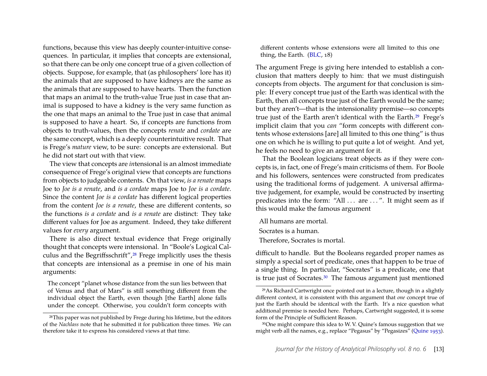functions, because this view has deeply counter-intuitive consequences. In particular, it implies that concepts are extensional, so that there can be only one concept true of a given collection of objects. Suppose, for example, that (as philosophers' lore has it) the animals that are supposed to have kidneys are the same as the animals that are supposed to have hearts. Then the function that maps an animal to the truth-value True just in case that animal is supposed to have a kidney is the very same function as the one that maps an animal to the True just in case that animal is supposed to have a heart. So, if concepts are functions from objects to truth-values, then the concepts *renate* and *cordate* are the same concept, which is a deeply counterintuitive result. That is Frege's *mature* view, to be sure: concepts are extensional. But he did not start out with that view.

The view that concepts are *in*tensional is an almost immediate consequence of Frege's original view that concepts are functions from objects to judgeable contents. On that view, *is a renate* maps Joe to *Joe is a renate*, and *is a cordate* maps Joe to *Joe is a cordate*. Since the content *Joe is a cordate* has different logical properties from the content *Joe is a renate*, these are different contents, so the functions *is a cordate* and *is a renate* are distinct: They take different values for Joe as argument. Indeed, they take different values for *every* argument.

There is also direct textual evidence that Frege originally thought that concepts were intensional. In "Boole's Logical Cal-culus and the Begriffsschrift",<sup>[28](#page-13-0)</sup> Frege implicitly uses the thesis that concepts are intensional as a premise in one of his main arguments:

The concept "planet whose distance from the sun lies between that of Venus and that of Mars" is still something different from the individual object the Earth, even though [the Earth] alone falls under the concept. Otherwise, you couldn't form concepts with different contents whose extensions were all limited to this one thing, the Earth.  $(BLC, 18)$ 

The argument Frege is giving here intended to establish a conclusion that matters deeply to him: that we must distinguish concepts from objects. The argument for that conclusion is simple: If every concept true just of the Earth was identical with the Earth, then all concepts true just of the Earth would be the same; but they aren't—that is the intensionality premise—so concepts true just of the Earth aren't identical with the Earth.[29](#page-13-1) Frege's implicit claim that you *can* "form concepts with different contents whose extensions [are] all limited to this one thing" is thus one on which he is willing to put quite a lot of weight. And yet, he feels no need to give an argument for it.

That the Boolean logicians treat objects as if they were concepts is, in fact, one of Frege's main criticisms of them. For Boole and his followers, sentences were constructed from predicates using the traditional forms of judgement. A universal affirmative judgement, for example, would be constructed by inserting predicates into the form: "All ... are ...". It might seem as if this would make the famous argument

All humans are mortal.

Socrates is a human.

Therefore, Socrates is mortal.

difficult to handle. But the Booleans regarded proper names as simply a special sort of predicate, ones that happen to be true of a single thing. In particular, "Socrates" is a predicate, one that is true just of Socrates.<sup>[30](#page-13-2)</sup> The famous argument just mentioned

<span id="page-13-2"></span>30One might compare this idea to W. V. Quine's famous suggestion that we might verb all the names, e.g., replace "Pegasus" by "Pegasizes" [\(Quine 1953\)](#page-31-12).

<span id="page-13-0"></span><sup>28</sup>This paper was not published by Frege during his lifetime, but the editors of the *Nachlass* note that he submitted it for publication three times. We can therefore take it to express his considered views at that time.

<span id="page-13-1"></span><sup>29</sup>As Richard Cartwright once pointed out in a lecture, though in a slightly different context, it is consistent with this argument that *one* concept true of just the Earth should be identical with the Earth. It's a nice question what additional premise is needed here. Perhaps, Cartwright suggested, it is some form of the Principle of Sufficient Reason.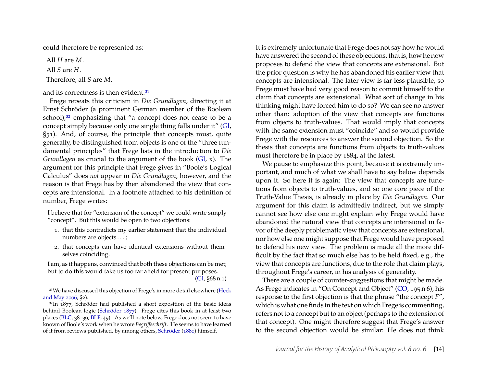could therefore be represented as:

All *H* are *M*. All *S* are *H*. Therefore, all *S* are *M*.

#### and its correctness is then evident.<sup>[31](#page-14-0)</sup>

Frege repeats this criticism in *Die Grundlagen*, directing it at Ernst Schröder (a prominent German member of the Boolean school),<sup>[32](#page-14-1)</sup> emphasizing that "a concept does not cease to be a concept simply because only one single thing falls under it" [\(Gl,](#page-29-12) §51). And, of course, the principle that concepts must, quite generally, be distinguished from objects is one of the "three fundamental principles" that Frege lists in the introduction to *Die Grundlagen* as crucial to the argument of the book [\(Gl,](#page-29-12) x). The argument for this principle that Frege gives in "Boole's Logical Calculus" does *not* appear in *Die Grundlagen*, however, and the reason is that Frege has by then abandoned the view that concepts are intensional. In a footnote attached to his definition of number, Frege writes:

I believe that for "extension of the concept" we could write simply "concept". But this would be open to two objections:

- 1. that this contradicts my earlier statement that the individual numbers are objects . . . ;
- 2. that concepts can have identical extensions without themselves coinciding.

I am, as it happens, convinced that both these objections can be met; but to do this would take us too far afield for present purposes. [\(Gl,](#page-29-12) §68 n 1) It is extremely unfortunate that Frege does not say how he would have answered the second of these objections, that is, how he now proposes to defend the view that concepts are extensional. But the prior question is why he has abandoned his earlier view that concepts are intensional. The later view is far less plausible, so Frege must have had very good reason to commit himself to the claim that concepts are extensional. What sort of change in his thinking might have forced him to do so? We can see no answer other than: adoption of the view that concepts are functions from objects to truth-values. That would imply that concepts with the same extension must "coincide" and so would provide Frege with the resources to answer the second objection. So the thesis that concepts are functions from objects to truth-values must therefore be in place by 1884, at the latest.

We pause to emphasize this point, because it is extremely important, and much of what we shall have to say below depends upon it. So here it is again: The view that concepts are functions from objects to truth-values, and so one core piece of the Truth-Value Thesis, is already in place by *Die Grundlagen*. Our argument for this claim is admittedly indirect, but we simply cannot see how else one might explain why Frege would have abandoned the natural view that concepts are intensional in favor of the deeply problematic view that concepts are extensional, nor how else one might suppose that Frege would have proposed to defend his new view. The problem is made all the more difficult by the fact that so much else has to be held fixed, e.g., the view that concepts are functions, due to the role that claim plays, throughout Frege's career, in his analysis of generality.

There are a couple of counter-suggestions that might be made. As Frege indicates in "On Concept and Object" [\(CO,](#page-29-17) 195 n 6), his response to the first objection is that the phrase "the concept *F*", which is what one finds in the text on which Frege is commenting, refers not to a concept but to an object (perhaps to the extension of that concept). One might therefore suggest that Frege's answer to the second objection would be similar: He does not think

<span id="page-14-0"></span><sup>31</sup>We have discussed this objection of Frege's in more detail elsewhere [\(Heck](#page-30-9) [and May 2006,](#page-30-9) §2).

<span id="page-14-1"></span><sup>&</sup>lt;sup>32</sup>In 1877, Schröder had published a short exposition of the basic ideas behind Boolean logic [\(Schröder 1877\)](#page-31-13). Frege cites this book in at least two places [\(BLC,](#page-29-9) 38–39; [BLF,](#page-29-16) 49). As we'll note below, Frege does not seem to have known of Boole's work when he wrote *Begriffsschrift*. He seems to have learned of it from reviews published, by among others, [Schröder](#page-31-14) [\(1880\)](#page-31-14) himself.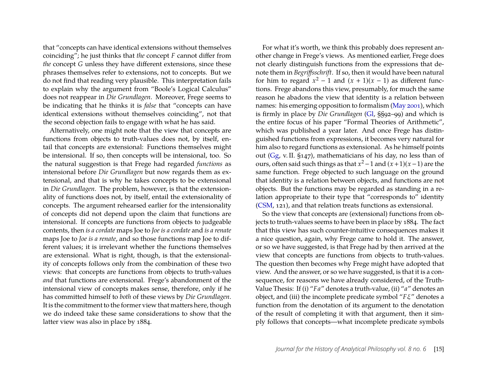that "concepts can have identical extensions without themselves coinciding"; he just thinks that *the* concept *F* cannot differ from *the* concept *G* unless they have different extensions, since these phrases themselves refer to extensions, not to concepts. But we do not find that reading very plausible. This interpretation fails to explain why the argument from "Boole's Logical Calculus" does not reappear in *Die Grundlagen*. Moreover, Frege seems to be indicating that he thinks it is *false* that "concepts can have identical extensions without themselves coinciding", not that the second objection fails to engage with what he has said.

Alternatively, one might note that the view that concepts are functions from objects to truth-values does not, by itself, entail that concepts are extensional: Functions themselves might be intensional. If so, then concepts will be intensional, too. So the natural suggestion is that Frege had regarded *functions* as intensional before *Die Grundlagen* but now regards them as extensional, and that is why he takes concepts to be extensional in *Die Grundlagen*. The problem, however, is that the extensionality of functions does not, by itself, entail the extensionality of concepts. The argument rehearsed earlier for the intensionality of concepts did not depend upon the claim that functions are intensional. If concepts are functions from objects to judgeable contents, then *is a cordate* maps Joe to *Joe is a cordate* and *is a renate* maps Joe to *Joe is a renate*, and so those functions map Joe to different values; it is irrelevant whether the functions themselves are extensional. What is right, though, is that the extensionality of concepts follows only from the combination of these two views: that concepts are functions from objects to truth-values *and* that functions are extensional. Frege's abandonment of the intensional view of concepts makes sense, therefore, only if he has committed himself to *both* of these views by *Die Grundlagen*. It is the commitment to the former view that matters here, though we do indeed take these same considerations to show that the latter view was also in place by 1884.

For what it's worth, we think this probably does represent another change in Frege's views. As mentioned earlier, Frege does not clearly distinguish functions from the expressions that denote them in *Begriffsschrift*. If so, then it would have been natural for him to regard  $x^2 - 1$  and  $(x + 1)(x - 1)$  as different functions. Frege abandons this view, presumably, for much the same reason he abadons the view that identity is a relation between names: his emerging opposition to formalism [\(May 2001\)](#page-30-11), which is firmly in place by *Die Grundlagen* [\(Gl,](#page-29-12) §§92–99) and which is the entire focus of his paper "Formal Theories of Arithmetic", which was published a year later. And once Frege has distinguished functions from expressions, it becomes very natural for him also to regard functions as extensional. As he himself points out [\(Gg,](#page-29-6) v. II. §147), mathematicians of his day, no less than of ours, often said such things as that *x* <sup>2</sup>−1 and (*x*+1)(*x*−1) are the same function. Frege objected to such language on the ground that identity is a relation between objects, and functions are not objects. But the functions may be regarded as standing in a relation appropriate to their type that "corresponds to" identity [\(CSM,](#page-29-18) 121), and that relation treats functions as extensional.

So the view that concepts are (extensional) functions from objects to truth-values seems to have been in place by 1884. The fact that this view has such counter-intuitive consequences makes it a nice question, again, why Frege came to hold it. The answer, or so we have suggested, is that Frege had by then arrived at the view that concepts are functions from objects to truth-values. The question then becomes why Frege might have adopted that view. And the answer, or so we have suggested, is that it is a consequence, for reasons we have already considered, of the Truth-Value Thesis: If (i) "*Fa*" denotes a truth-value, (ii) "*a*" denotes an object, and (iii) the incomplete predicate symbol "*F*ξ" denotes a function from the denotation of its argument to the denotation of the result of completing it with that argument, then it simply follows that concepts—what incomplete predicate symbols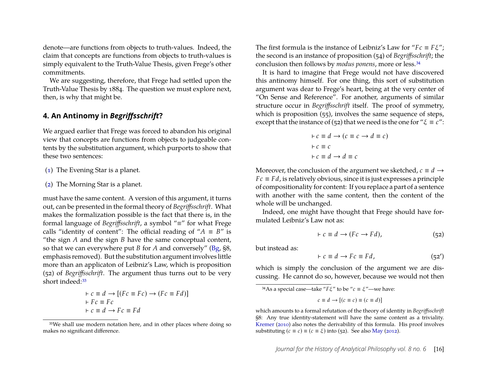denote—are functions from objects to truth-values. Indeed, the claim that concepts are functions from objects to truth-values is simply equivalent to the Truth-Value Thesis, given Frege's other commitments.

We are suggesting, therefore, that Frege had settled upon the Truth-Value Thesis by 1884. The question we must explore next, then, is why that might be.

#### <span id="page-16-2"></span>**4. An Antinomy in** *Begriffsschrift***?**

We argued earlier that Frege was forced to abandon his original view that concepts are functions from objects to judgeable contents by the substitution argument, which purports to show that these two sentences:

- [\(1\)](#page-10-1) The Evening Star is a planet.
- [\(2\)](#page-10-1) The Morning Star is a planet.

must have the same content. A version of this argument, it turns out, can be presented in the formal theory of *Begriffsschrift*. What makes the formalization possible is the fact that there is, in the formal language of *Begriffsschrift*, a symbol "≡" for what Frege calls "identity of content": The official reading of " $A \equiv B$ " is "the sign *A* and the sign *B* have the same conceptual content, so that we can everywhere put *B* for *A* and conversely" [\(Bg,](#page-29-7) §8, emphasis removed). But the substitution argument involves little more than an applicaton of Leibniz's Law, which is proposition (52) of *Begriffsschrift*. The argument thus turns out to be very short indeed:<sup>[33](#page-16-0)</sup>

$$
\begin{aligned}\n\vdash c &\equiv d \rightarrow [(Fc \equiv Fc) \rightarrow (Fc \equiv Fd)] \\
\vdash Fc &\equiv Fc \\
\vdash c &\equiv d \rightarrow Fc \equiv Fd\n\end{aligned}
$$

The first formula is the instance of Leibniz's Law for "*Fc* ≡ *F*ξ"; the second is an instance of proposition (54) of *Begriffsschrift*; the conclusion then follows by *modus ponens*, more or less.[34](#page-16-1)

It is hard to imagine that Frege would not have discovered this antinomy himself. For one thing, this sort of substitution argument was dear to Frege's heart, being at the very center of "On Sense and Reference". For another, arguments of similar structure occur in *Begriffsschrift* itself. The proof of symmetry, which is proposition (55), involves the same sequence of steps, except that the instance of (52) that we need is the one for " $\xi \equiv c$ ":

$$
\begin{aligned}\n \vdash c \equiv d \rightarrow (c \equiv c \rightarrow d \equiv c) \\
 \vdash c \equiv c \\
 \vdash c \equiv d \rightarrow d \equiv c\n \end{aligned}
$$

Moreover, the conclusion of the argument we sketched,  $c \equiv d \rightarrow$  $Fc \equiv Fd$ , is relatively obvious, since it is just expresses a principle of compositionality for content: If you replace a part of a sentence with another with the same content, then the content of the whole will be unchanged.

Indeed, one might have thought that Frege should have formulated Leibniz's Law not as:

$$
\vdash c \equiv d \rightarrow (Fc \rightarrow Fd), \tag{52}
$$

but instead as:

$$
\vdash c \equiv d \rightarrow Fc \equiv Fd, \tag{52'}
$$

which is simply the conclusion of the argument we are discussing. He cannot do so, however, because we would not then

<span id="page-16-1"></span><sup>34</sup>As a special case—take " $F\xi$ " to be " $c \equiv \xi$ "—we have:

$$
c \equiv d \rightarrow [(c \equiv c) \equiv (c \equiv d)]
$$

<span id="page-16-0"></span><sup>33</sup>We shall use modern notation here, and in other places where doing so makes no significant difference.

which amounts to a formal refutation of the theory of identity in *Begriffsschrift* §8: Any true identity-statement will have the same content as a triviality. [Kremer](#page-30-8) [\(2010\)](#page-30-8) also notes the derivability of this formula. His proof involves substituting  $(c \equiv c) \equiv (c \equiv \xi)$  into (52). See also [May](#page-30-15) [\(2012\)](#page-30-15).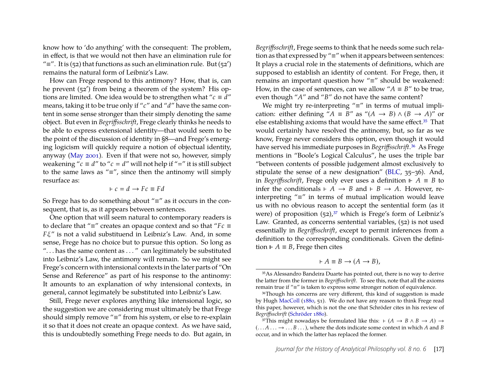know how to 'do anything' with the consequent: The problem, in effect, is that we would not then have an elimination rule for " $\equiv$ ". It is (52) that functions as such an elimination rule. But (52') remains the natural form of Leibniz's Law.

How can Frege respond to this antimony? How, that is, can he prevent (52′ ) from being a theorem of the system? His options are limited. One idea would be to strengthen what " $c \equiv d$ " means, taking it to be true only if "*c*" and "*d*" have the same content in some sense stronger than their simply denoting the same object. But even in *Begriffsschrift*, Frege clearly thinks he needs to be able to express extensional identity—that would seem to be the point of the discussion of identity in §8—and Frege's emerging logicism will quickly require a notion of objectual identity, anyway [\(May 2001\)](#page-30-11). Even if that were not so, however, simply weakening " $c \equiv d$ " to " $c = d$ " will not help if "=" it is still subject to the same laws as "≡", since then the antinomy will simply resurface as:

$$
\vdash c = d \rightarrow Fc \equiv Fd
$$

So Frege has to do something about "≡" as it occurs in the consequent, that is, as it appears between sentences.

One option that will seem natural to contemporary readers is to declare that "≡" creates an opaque context and so that "*Fc* ≡ *F*ξ" is not a valid substituend in Leibniz's Law. And, in some sense, Frege has no choice but to pursue this option. So long as ". . . has the same content as . . . " can legitimately be substituted into Leibniz's Law, the antimony will remain. So we might see Frege's concern with intensional contexts in the later parts of "On Sense and Reference" as part of his response to the antinomy: It amounts to an explanation of why intensional contexts, in general, cannot legimately be substituted into Leibniz's Law.

Still, Frege never explores anything like intensional logic, so the suggestion we are considering must ultimately be that Frege should simply remove "≡" from his system, or else to re-explain it so that it does not create an opaque context. As we have said, this is undoubtedly something Frege needs to do. But again, in *Begriffsschrift*, Frege seems to think that he needs some such relation as that expressed by "≡" when it appears between sentences: It plays a crucial role in the statements of definitions, which are supposed to establish an identity of content. For Frege, then, it remains an important question how "≡" should be weakened: How, in the case of sentences, can we allow " $A \equiv B$ " to be true, even though "*A*" and "*B*" do not have the same content?

We might try re-interpreting "≡" in terms of mutual implication: either defining " $A \equiv B''$  as " $(A \rightarrow B) \land (B \rightarrow A)''$  or else establishing axioms that would have the same effect.<sup>[35](#page-17-0)</sup> That would certainly have resolved the antinomy, but, so far as we know, Frege never considers this option, even though it would have served his immediate purposes in *Begriffsschrift*.[36](#page-17-1) As Frege mentions in "Boole's Logical Calculus", he uses the triple bar "between contents of possible judgement almost exclusively to stipulate the sense of a new designation" [\(BLC,](#page-29-9) 35–36). And, in *Begriffsschrift*, Frege only ever uses a definition  $⊩$  *A* ≡ *B* to infer the conditionals  $\vdash A \rightarrow B$  and  $\vdash B \rightarrow A$ . However, reinterpreting "≡" in terms of mutual implication would leave us with no obvious reason to accept the sentential form (as it were) of proposition  $(52)$ ,<sup>[37](#page-17-2)</sup> which is Frege's form of Leibniz's Law. Granted, as concerns sentential variables, (52) is not used essentially in *Begriffsschrift*, except to permit inferences from a definition to the corresponding conditionals. Given the definition  $⊩$  *A* ≡ *B*, Frege then cites

$$
\vdash A \equiv B \to (A \to B),
$$

<span id="page-17-0"></span><sup>35</sup>As Alessandro Bandeira Duarte has pointed out, there is no way to derive the latter from the former in *Begriffsschrift*. To see this, note that all the axioms remain true if "≡" is taken to express some stronger notion of equivalence.

<span id="page-17-1"></span><sup>36</sup>Though his concerns are very different, this kind of suggestion is made by Hugh [MacColl](#page-30-16) [\(1880,](#page-30-16) 51). We do not have any reason to think Frege read this paper, however, which is not the one that Schröder cites in his review of *Begriffsschrift* [\(Schröder 1880\)](#page-31-14).

<span id="page-17-2"></span><sup>&</sup>lt;sup>37</sup>This might nowadays be formulated like this:  $\vdash (A \rightarrow B \land B \rightarrow A) \rightarrow$  $(... A \ldots \rightarrow ... B \ldots)$ , where the dots indicate some context in which *A* and *B* occur, and in which the latter has replaced the former.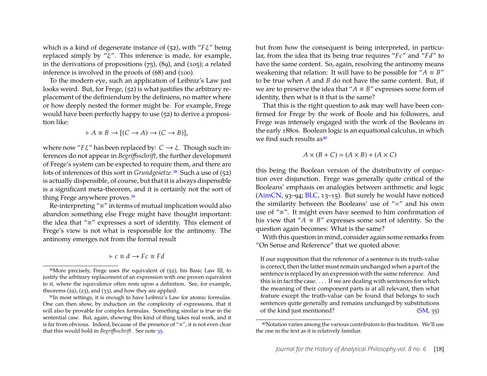which is a kind of degenerate instance of (52), with "*F*ξ" being replaced simply by " $\xi$ ". This inference is made, for example, in the derivations of propositions (75), (89), and (105); a related inference is involved in the proofs of (68) and (100).

To the modern eye, such an application of Leibniz's Law just looks weird. But, for Frege, (52) is what justifies the arbitrary replacement of the definiendum by the definiens, no matter where or how deeply nested the former might be. For example, Frege would have been perfectly happy to use (52) to derive a proposition like:

$$
\vdash A \equiv B \to [(C \to A) \to (C \to B)],
$$

where now "*F*ξ" has been replaced by: *C* → ξ. Though such inferences do not appear in *Begriffsschrift*, the further development of Frege's system can be expected to require them, and there are lots of inferences of this sort in *Grundgesetze*.[38](#page-18-0) Such a use of (52) is actually dispensible, of course, but that it is always dispensible is a significant meta-theorem, and it is certainly not the sort of thing Frege anywhere proves.[39](#page-18-1)

Re-interpreting "≡" in terms of mutual implication would also abandon something else Frege might have thought important: the idea that "≡" expresses a sort of identity. This element of Frege's view is not what is responsible for the antinomy. The antinomy emerges not from the formal result

$$
\vdash c \equiv d \rightarrow Fc \equiv Fd
$$

but from how the consequent is being interpreted, in particular, from the idea that its being true requires "*Fc*" and "*Fd*" to have the same content. So, again, resolving the antinomy means weakening that relation: It will have to be possible for " $A \equiv B$ " to be true when *A* and *B* do not have the same content. But, if we are to preserve the idea that " $A \equiv B$ " expresses some form of identity, then what is it that is the same?

That this is the right question to ask may well have been confirmed for Frege by the work of Boole and his followers, and Frege was intensely engaged with the work of the Booleans in the early 1880s. Boolean logic is an equational calculus, in which we find such results  $as<sup>40</sup>$  $as<sup>40</sup>$  $as<sup>40</sup>$ 

$$
A \times (B + C) = (A \times B) + (A \times C)
$$

this being the Boolean version of the distributivity of conjuction over disjunction. Frege was generally quite critical of the Booleans' emphasis on analogies between arithmetic and logic [\(AimCN,](#page-28-1) 93–94; [BLC,](#page-29-9) 13–15). But surely he would have noticed the similarity between the Booleans' use of " $=$ " and his own use of "≡". It might even have seemed to him confirmation of his view that " $A \equiv B''$  expresses some sort of identity. So the question again becomes: What is the same?

With this question in mind, consider again some remarks from "On Sense and Reference" that we quoted above:

If our supposition that the reference of a sentence is its truth-value is correct, then the latter must remain unchanged when a part of the sentence is replaced by an expression with the same reference. And this is in fact the case. . . . If we are dealing with sentences for which the meaning of their component parts is at all relevant, then what feature except the truth-value can be found that belongs to such sentences quite generally and remains unchanged by substitutions of the kind just mentioned? [\(SM,](#page-29-0) 35)

<span id="page-18-0"></span><sup>38</sup>More precisely, Frege uses the equivalent of (52), his Basic Law III, to justify the arbitrary replacement of an expression with one proven equivalent to it, where the equivalence often rests upon a definition. See, for example, theorems  $(22)$ ,  $(23)$ , and  $(33)$ , and how they are applied.

<span id="page-18-1"></span><sup>39</sup>In most settings, it is enough to have Leibniz's Law for atomic formulas. One can then show, by induction on the complexity of expressions, that it will also be provable for complex formulas. Something similar is true in the sentential case. But, again, showing this kind of thing takes real work, and it is far from obvious. Indeed, because of the presence of "≡", it is not even clear that this would hold in *Begriffsschrift*. See note [35.](#page-17-0)

<span id="page-18-2"></span><sup>40</sup>Notation varies among the various contributors to this tradition. We'll use the one in the text as it is relatively familiar.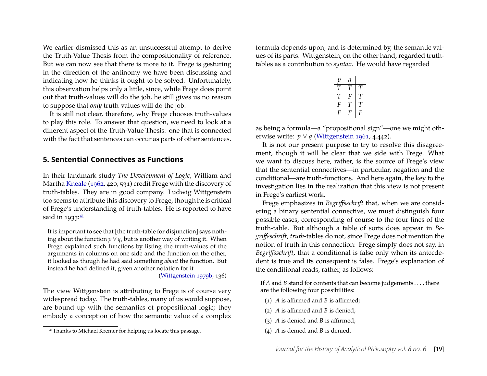We earlier dismissed this as an unsuccessful attempt to derive the Truth-Value Thesis from the compositionality of reference. But we can now see that there is more to it. Frege is gesturing in the direction of the antinomy we have been discussing and indicating how he thinks it ought to be solved. Unfortunately, this observation helps only a little, since, while Frege does point out that truth-values will do the job, he still gives us no reason to suppose that *only* truth-values will do the job.

It is still not clear, therefore, why Frege chooses truth-values to play this role. To answer that question, we need to look at a different aspect of the Truth-Value Thesis: one that is connected with the fact that sentences can occur as parts of other sentences.

#### **5. Sentential Connectives as Functions**

In their landmark study *The Development of Logic*, William and Martha [Kneale](#page-30-17) [\(1962,](#page-30-17) 420, 531) credit Frege with the discovery of truth-tables. They are in good company. Ludwig Wittgenstein too seems to attribute this discovery to Frege, though he is critical of Frege's understanding of truth-tables. He is reported to have said in  $1935:41$  $1935:41$ 

It is important to see that [the truth-table for disjunction] says nothing about the function  $p \vee q$ , but is another way of writing it. When Frege explained such functions by listing the truth-values of the arguments in columns on one side and the function on the other, it looked as though he had said something *about* the function. But instead he had defined it, given another notation for it.

[\(Wittgenstein 1979b,](#page-31-15) 136)

The view Wittgenstein is attributing to Frege is of course very widespread today. The truth-tables, many of us would suppose, are bound up with the semantics of propositional logic; they embody a conception of how the semantic value of a complex formula depends upon, and is determined by, the semantic values of its parts. Wittgenstein, on the other hand, regarded truthtables as a contribution to *syntax*. He would have regarded

| р |   |   |
|---|---|---|
| T | T | T |
| T | F | T |
| F | T | T |
| F | F | F |

as being a formula—a "propositional sign"—one we might otherwise write: *p* ∨ *q* [\(Wittgenstein 1961,](#page-31-4) 4.442).

It is not our present purpose to try to resolve this disagreement, though it will be clear that we side with Frege. What we want to discuss here, rather, is the source of Frege's view that the sentential connectives—in particular, negation and the conditional—are truth-functions. And here again, the key to the investigation lies in the realization that this view is not present in Frege's earliest work.

Frege emphasizes in *Begriffsschrift* that, when we are considering a binary sentential connective, we must distinguish four possible cases, corresponding of course to the four lines of the truth-table. But although a table of sorts does appear in *Begriffsschrift*, *truth*-tables do not, since Frege does not mention the notion of truth in this connection: Frege simply does not say, in *Begriffsschrift*, that a conditional is false only when its antecdedent is true and its consequent is false. Frege's explanation of the conditional reads, rather, as follows:

If *A* and *B* stand for contents that can become judgements . . . , there are the following four possibilities:

- (1) *A* is affirmed and *B* is affirmed;
- (2) *A* is affirmed and *B* is denied;
- (3) *A* is denied and *B* is affirmed;
- (4) *A* is denied and *B* is denied.

<span id="page-19-0"></span><sup>41</sup>Thanks to Michael Kremer for helping us locate this passage.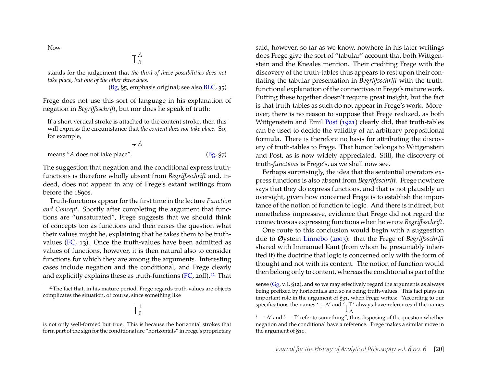Now

$$
\mathop{\top}\nolimits_{B}^{A}
$$

stands for the judgement that *the third of these possibilities does not take place, but one of the other three does*.

[\(Bg,](#page-29-7) §5, emphasis original; see also [BLC,](#page-29-9) 35)

Frege does not use this sort of language in his explanation of negation in *Begriffsschrift*, but nor does he speak of truth:

If a short vertical stroke is attached to the content stroke, then this will express the circumstance that *the content does not take place*. So, for example,

$$
\mid_{\tau} A
$$
\nmeans "*A* does not take place".\n(Bg, §7)

The suggestion that negation and the conditional express truthfunctions is therefore wholly absent from *Begriffsschrift* and, indeed, does not appear in any of Frege's extant writings from before the 1890s.

Truth-functions appear for the first time in the lecture *Function and Concept*. Shortly after completing the argument that functions are "unsaturated", Frege suggests that we should think of concepts too as functions and then raises the question what their values might be, explaining that he takes them to be truthvalues [\(FC,](#page-29-15) 13). Once the truth-values have been admitted as values of functions, however, it is then natural also to consider functions for which they are among the arguments. Interesting cases include negation and the conditional, and Frege clearly and explicitly explains these as truth-functions [\(FC,](#page-29-15) 20ff). $42$  That

said, however, so far as we know, nowhere in his later writings does Frege give the sort of "tabular" account that both Wittgenstein and the Kneales mention. Their crediting Frege with the discovery of the truth-tables thus appears to rest upon their conflating the tabular presentation in *Begriffsschrift* with the truthfunctional explanation of the connectives in Frege's mature work. Putting these together doesn't require great insight, but the fact is that truth-tables as such do not appear in Frege's work. Moreover, there is no reason to suppose that Frege realized, as both Wittgenstein and Emil [Post](#page-31-16) [\(1921\)](#page-31-16) clearly did, that truth-tables can be used to decide the validity of an arbitrary propositional formula. There is therefore no basis for attributing the discovery of truth-tables to Frege. That honor belongs to Wittgenstein and Post, as is now widely appreciated. Still, the discovery of truth-*functions* is Frege's, as we shall now see.

Perhaps surprisingly, the idea that the sentential operators express functions is also absent from *Begriffsschrift*. Frege nowhere says that they do express functions, and that is not plausibly an oversight, given how concerned Frege is to establish the importance of the notion of function to logic. And there is indirect, but nonetheless impressive, evidence that Frege did not regard the connectives as expressing functions when he wrote *Begriffsschrift*.

One route to this conclusion would begin with a suggestion due to Øystein [Linnebo](#page-30-18) [\(2003\)](#page-30-18): that the Frege of *Begriffsschrift* shared with Immanuel Kant (from whom he presumably inherited it) the doctrine that logic is concerned only with the form of thought and not with its content. The notion of function would then belong only to content, whereas the conditional is part of the

<span id="page-20-0"></span><sup>&</sup>lt;sup>42</sup>The fact that, in his mature period, Frege regards truth-values are objects complicates the situation, of course, since something like

<sup>1</sup>  $\overline{0}$ 

is not only well-formed but true. This is because the horizontal strokes that form part of the sign for the conditional are "horizontals" in Frege's proprietary

sense ( $Gg$ , v. I, §12), and so we may effectively regard the arguments as always being prefixed by horizontals and so as being truth-values. This fact plays an important role in the argument of §31, when Frege writes: "According to our specifications the names ' $\rightarrow \Delta'$  and ' $\top \Gamma$ ∆ ' always have references if the names

<sup>&#</sup>x27; — Δ' and '— Γ' refer to something", thus disposing of the question whether negation and the conditional have a reference. Frege makes a similar move in the argument of §10.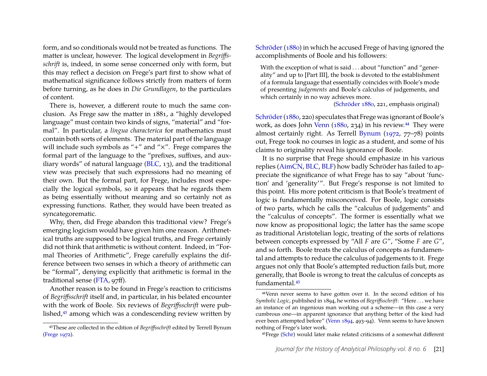form, and so conditionals would not be treated as functions. The matter is unclear, however. The logical development in *Begriffsschrift* is, indeed, in some sense concerned only with form, but this may reflect a decision on Frege's part first to show what of mathematical significance follows strictly from matters of form before turning, as he does in *Die Grundlagen*, to the particulars of content.

There is, however, a different route to much the same conclusion. As Frege saw the matter in 1881, a "highly developed language" must contain two kinds of signs, "material" and "formal". In particular, a *lingua characterica* for mathematics must contain both sorts of elements. The material part of the language will include such symbols as "+" and "×". Frege compares the formal part of the language to the "prefixes, suffixes, and auxiliary words" of natural language [\(BLC,](#page-29-9) 13), and the traditional view was precisely that such expressions had no meaning of their own. But the formal part, for Frege, includes most especially the logical symbols, so it appears that he regards them as being essentially without meaning and so certainly not as expressing functions. Rather, they would have been treated as syncategorematic.

Why, then, did Frege abandon this traditional view? Frege's emerging logicism would have given him one reason. Arithmetical truths are supposed to be logical truths, and Frege certainly did not think that arithmetic is without content. Indeed, in "Formal Theories of Arithmetic", Frege carefully explains the difference between two senses in which a theory of arithmetic can be "formal", denying explicitly that arithmetic is formal in the traditional sense [\(FTA,](#page-29-19) 97ff).

Another reason is to be found in Frege's reaction to criticisms of *Begriffsschrift* itself and, in particular, in his belated encounter with the work of Boole. Six reviews of *Begriffsschrift* were published,[43](#page-21-0) among which was a condescending review written by [Schröder](#page-31-14) [\(1880\)](#page-31-14) in which he accused Frege of having ignored the accomplishments of Boole and his followers:

With the exception of what is said . . . about "function" and "generality" and up to [Part III], the book is devoted to the establishment of a formula language that essentially coincides with Boole's mode of presenting *judgements* and Boole's calculus of judgements, and which certainly in no way achieves more.

[\(Schröder 1880,](#page-31-14) 221, emphasis original)

Schröder (1880, 220) speculates that Frege was ignorant of Boole's work, as does John [Venn](#page-31-17) [\(1880,](#page-31-17) 234) in his review.<sup>[44](#page-21-1)</sup> They were almost certainly right. As Terrell [Bynum](#page-28-14) [\(1972,](#page-28-14) 77–78) points out, Frege took no courses in logic as a student, and some of his claims to originality reveal his ignorance of Boole.

It is no surprise that Frege should emphasize in his various replies [\(AimCN,](#page-28-1) [BLC,](#page-29-9) [BLF\)](#page-29-16) how badly Schröder has failed to appreciate the significance of what Frege has to say "about 'function' and 'generality'". But Frege's response is not limited to this point. His more potent criticism is that Boole's treatment of logic is fundamentally misconceived. For Boole, logic consists of two parts, which he calls the "calculus of judgements" and the "calculus of concepts". The former is essentially what we now know as propositional logic; the latter has the same scope as traditional Aristotelian logic, treating of the sorts of relations between concepts expressed by "All *F* are *G*", "Some *F* are *G*", and so forth. Boole treats the calculus of concepts as fundamental and attempts to reduce the calculus of judgements to it. Frege argues not only that Boole's attempted reduction fails but, more generally, that Boole is wrong to treat the calculus of concepts as fundamental.[45](#page-21-2)

<span id="page-21-0"></span><sup>43</sup>These are collected in the edition of *Begriffsschrift* edited by Terrell Bynum [\(Frege 1972\)](#page-28-13).

<span id="page-21-1"></span><sup>44</sup>Venn never seems to have gotten over it. In the second edition of his *Symbolic Logic*, published in 1894, he writes of *Begriffsschrift*: "Here . . . we have an instance of an ingenious man working out a scheme—in this case a very cumbrous one—in apparent ignorance that anything better of the kind had ever been attempted before" [\(Venn 1894,](#page-31-18) 493–94). Venn seems to have known nothing of Frege's later work.

<span id="page-21-2"></span><sup>45</sup>Frege [\(Schr\)](#page-29-20) would later make related criticisms of a somewhat different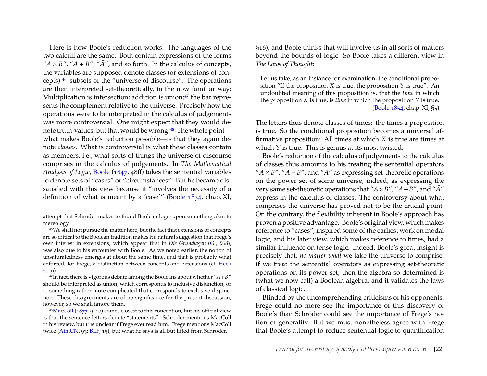Here is how Boole's reduction works. The languages of the two calculi are the same. Both contain expressions of the forms " $A \times B$ ", " $A + B$ ", " $\overline{A}$ ", and so forth. In the calculus of concepts, the variables are supposed denote classes (or extensions of concepts):[46](#page-22-0) subsets of the "universe of discourse". The operations are then interpreted set-theoretically, in the now familiar way: Multiplication is intersection; addition is union; $47$  the bar represents the complement relative to the universe. Precisely how the operations were to be interpreted in the calculus of judgements was more controversial. One might expect that they would de-note truth-values, but that would be wrong.<sup>[48](#page-22-2)</sup> The whole point what makes Boole's reduction possible—is that they again denote *classes*. What is controversial is what these classes contain as members, i.e., what sorts of things the universe of discourse comprises in the calculus of judgements. In *The Mathematical Analysis of Logic*, [Boole](#page-28-15) [\(1847,](#page-28-15) 48ff) takes the sentential variables to denote sets of "cases" or "circumstances". But he became dissatisfied with this view because it "involves the necessity of a definition of what is meant by a 'case'" [\(Boole 1854,](#page-28-16) chap. XI,

§16), and Boole thinks that will involve us in all sorts of matters beyond the bounds of logic. So Boole takes a different view in *The Laws of Thought*:

Let us take, as an instance for examination, the conditional proposition "If the proposition *X* is true, the proposition *Y* is true". An undoubted meaning of this proposition is, that the *time* in which the proposition *X* is true, is *time* in which the proposition *Y* is true. [\(Boole 1854,](#page-28-16) chap. XI, §5)

The letters thus denote classes of times: the times a proposition is true. So the conditional proposition becomes a universal affirmative proposition: All times at which *X* is true are times at which *Y* is true. This is genius at its most twisted.

Boole's reduction of the calculus of judgements to the calculus of classes thus amounts to his treating the sentential operators " $A \times B$ ", " $A + B$ ", and " $\overline{A}$ " as expressing set-theoretic operations on the power set of some universe, indeed, as expressing the very same set-theoretic operations that " $A \times B$ ", " $A + B$ ", and " $\overline{A}$ " express in the calculus of classes. The controversy about what comprises the universe has proved not to be the crucial point. On the contrary, the flexibility inherent in Boole's approach has proven a positive advantage. Boole's original view, which makes reference to "cases", inspired some of the earliest work on modal logic, and his later view, which makes reference to times, had a similar influence on tense logic. Indeed, Boole's great insight is precisely that, *no matter what* we take the universe to comprise, if we treat the sentential operators as expressing set-theoretic operations on its power set, then the algebra so determined is (what we now call) a Boolean algebra, and it validates the laws of classical logic.

Blinded by the uncomprehending criticisms of his opponents, Frege could no more see the importance of this discovery of Boole's than Schröder could see the importance of Frege's notion of generality. But we must nonetheless agree with Frege that Boole's attempt to reduce sentential logic to quantification

attempt that Schröder makes to found Boolean logic upon something akin to mereology.

<span id="page-22-0"></span><sup>46</sup>We shall not pursue the matter here, but the fact that extensions of concepts are so critical to the Boolean tradition makes it a natural suggestion that Frege's own interest in extensions, which appear first in *Die Grundlagen* [\(Gl,](#page-29-12) §68), was also due to his encounter with Boole. As we noted earlier, the notion of unsaturatedness emerges at about the same time, and that is probably what enforced, for Frege, a distinction between concepts and extensions (cf. [Heck](#page-30-12) [2019\)](#page-30-12).

<span id="page-22-1"></span><sup>&</sup>lt;sup>47</sup>In fact, there is vigorous debate among the Booleans about whether " $A + B$ " should be interpreted as union, which corresponds to inclusive disjunction, or to something rather more complicated that corresponds to exclusive disjunction. These disagreements are of no significance for the present discussion, however, so we shall ignore them.

<span id="page-22-2"></span><sup>48</sup>[MacColl](#page-30-19) [\(1877,](#page-30-19) 9–10) comes closest to this conception, but his official view is that the sentence-letters denote "statements". Schröder mentions MacColl in his review, but it is unclear if Frege ever read him. Frege mentions MacColl twice [\(AimCN,](#page-28-1) 93; [BLF,](#page-29-16) 15), but what he says is all but lifted from Schröder.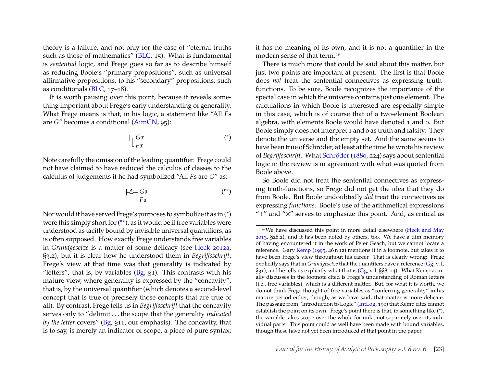theory is a failure, and not only for the case of "eternal truths such as those of mathematics" [\(BLC,](#page-29-9) 15). What is fundamental is *sentential* logic, and Frege goes so far as to describe himself as reducing Boole's "primary propositions", such as universal affirmative propositions, to his "secondary" propositions, such as conditionals [\(BLC,](#page-29-9) 17–18).

It is worth pausing over this point, because it reveals something important about Frege's early understanding of generality. What Frege means is that, in his logic, a statement like "All *F*s are *G*" becomes a conditional [\(AimCN,](#page-28-1) 95):

$$
\begin{array}{ccc}\n\bigcap_{T} G x & & & \text{(*)}\n\end{array}
$$

Note carefully the omission of the leading quantifier. Frege could not have claimed to have reduced the calculus of classes to the calculus of judgements if he had symbolized "All *F*s are *G*" as:

$$
\begin{array}{c}\n \downarrow^{\alpha} \uparrow G \mathfrak{a} \\
 F \mathfrak{a}\n \end{array} \tag{**}
$$

Nor would it have served Frege's purposes to symbolize it as in [\(\\*\)](#page-23-0) were this simply short for [\(\\*\\*\)](#page-23-1), as it would be if free variables were understood as tacitly bound by invisible universal quantifiers, as is often supposed. How exactly Frege understands free variables in *Grundgesetze* is a matter of some delicacy (see [Heck 2012a,](#page-30-6) §3.2), but it is clear how he understood them in *Begriffsschrift*. Frege's view at that time was that generality is indicated by "letters", that is, by variables [\(Bg,](#page-29-7) §1)*.* This contrasts with his mature view, where generality is expressed by the "concavity", that is, by the universal quantifier (which denotes a second-level concept that is true of precisely those concepts that are true of all). By contrast, Frege tells us in *Begriffsschrift* that the concavity serves only to "delimit . . . the scope that the generality *indicated by the letter* covers" [\(Bg,](#page-29-7) §11, our emphasis). The concavity, that is to say, is merely an indicator of scope, a piece of pure syntax; it has no meaning of its own, and it is not a quantifier in the modern sense of that term.[49](#page-23-2)

There is much more that could be said about this matter, but just two points are important at present. The first is that Boole does *not* treat the sentential connectives as expressing truthfunctions. To be sure, Boole recognizes the importance of the special case in which the universe contains just one element. The calculations in which Boole is interested are especially simple in this case, which is of course that of a two-element Boolean algebra, with elements Boole would have denoted 1 and 0. But Boole simply does not interpret 1 and 0 as truth and falsity: They denote the universe and the empty set. And the same seems to have been true of Schröder, at least at the time he wrote his review of *Begriffsschrift*. What [Schröder](#page-31-14) [\(1880,](#page-31-14) 224) says about sentential logic in the review is in agreement with what was quoted from Boole above.

<span id="page-23-1"></span><span id="page-23-0"></span>So Boole did not treat the sentential connectives as expressing truth-functions, so Frege did not get the idea that they do from Boole. But Boole undoubtedly *did* treat the connectives as expressing *functions*. Boole's use of the arithmetical expressions "+" and "×" serves to emphasize this point. And, as critical as

<span id="page-23-2"></span><sup>49</sup>We have discussed this point in more detail elsewhere [\(Heck and May](#page-30-4) [2013,](#page-30-4) §28.2), and it has been noted by others, too. We have a dim memory of having encountered it in the work of Peter Geach, but we cannot locate a reference. Gary [Kemp](#page-30-1) [\(1995,](#page-30-1) 46 n 12) mentions it in a footnote, but takes it to have been Frege's view throughout his career. That is clearly wrong: Frege explicitly says that in *Grundgesetze* that the quantifers have a reference [\(Gg,](#page-29-6) v. I, §31), and he tells us explicitly what that is [\(Gg,](#page-29-6) v. I, §§8, 24). What Kemp actually discusses in the footnote cited is Frege's understanding of Roman letters (i.e., free variables), which is a different matter. But, for what it is worth, we do not think Frege thought of free variables as "conferring generality" in his mature period either, though, as we have said, that matter is more delicate. The passage from "Introduction to Logic" [\(IntLog,](#page-29-10) 190) that Kemp cites cannot establish the point on its own. Frege's point there is that, in something like (\*), the variable takes scope over the whole formula, not separately over its individual parts. This point could as well have been made with bound variables, though these have not yet been introduced at that point in the paper.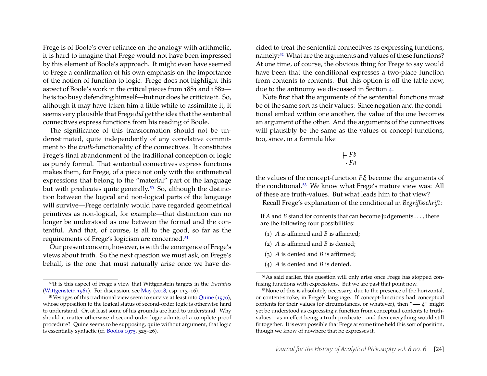Frege is of Boole's over-reliance on the analogy with arithmetic, it is hard to imagine that Frege would not have been impressed by this element of Boole's approach. It might even have seemed to Frege a confirmation of his own emphasis on the importance of the notion of function to logic. Frege does not highlight this aspect of Boole's work in the critical pieces from 1881 and 1882 he is too busy defending himself—but nor does he criticize it. So, although it may have taken him a little while to assimilate it, it seems very plausible that Frege *did* get the idea that the sentential connectives express functions from his reading of Boole.

The significance of this transformation should not be underestimated, quite independently of any correlative commitment to the *truth*-functionality of the connectives. It constitutes Frege's final abandonment of the traditional conception of logic as purely formal. That sentential connectives express functions makes them, for Frege, of a piece not only with the arithmetical expressions that belong to the "material" part of the language but with predicates quite generally.<sup>[50](#page-24-0)</sup> So, although the distinction between the logical and non-logical parts of the language will survive—Frege certainly would have regarded geometrical primtives as non-logical, for example—that distinction can no longer be understood as one between the formal and the contentful. And that, of course, is all to the good, so far as the requirements of Frege's logicism are concerned.[51](#page-24-1)

Our present concern, however, is with the emergence of Frege's views about truth. So the next question we must ask, on Frege's behalf, is the one that must naturally arise once we have decided to treat the sentential connectives as expressing functions, namely:[52](#page-24-2) What are the arguments and values of these functions? At one time, of course, the obvious thing for Frege to say would have been that the conditional expresses a two-place function from contents to contents. But this option is off the table now, due to the antinomy we discussed in Section [4.](#page-16-2)

Note first that the arguments of the sentential functions must be of the same sort as their values: Since negation and the conditional embed within one another, the value of the one becomes an argument of the other. And the arguments of the connectives will plausibly be the same as the values of concept-functions, too, since, in a formula like

#### *Fb Fa*

the values of the concept-function *F*ξ become the arguments of the conditional.[53](#page-24-3) We know what Frege's mature view was: All of these are truth-values. But what leads him to that view?

Recall Frege's explanation of the conditional in *Begriffsschrift*:

If *A* and *B* stand for contents that can become judgements . . . , there are the following four possibilities:

- (1) *A* is affirmed and *B* is affirmed;
- (2) *A* is affirmed and *B* is denied;
- (3) *A* is denied and *B* is affirmed;
- (4) *A* is denied and *B* is denied.

<span id="page-24-0"></span><sup>50</sup>It is this aspect of Frege's view that Wittgenstein targets in the *Tractatus* [\(Wittgenstein 1961\)](#page-31-4). For discussion, see [May](#page-30-2) [\(2018,](#page-30-2) esp. 113–16).

<span id="page-24-1"></span><sup>51</sup>Vestiges of this traditional view seem to survive at least into [Quine](#page-31-19) [\(1970\)](#page-31-19), whose opposition to the logical status of second-order logic is otherwise hard to understand. Or, at least some of his grounds are hard to understand. Why should it matter otherwise if second-order logic admits of a complete proof procedure? Quine seems to be supposing, quite without argument, that logic is essentially syntactic (cf. [Boolos 1975,](#page-28-17) 525–26).

<span id="page-24-2"></span><sup>52</sup>As said earlier, this question will only arise once Frege has stopped confusing functions with expressions. But we are past that point now.

<span id="page-24-3"></span><sup>&</sup>lt;sup>53</sup>None of this is absolutely necessary, due to the presence of the horizontal, or content-stroke, in Frege's language. If concept-functions had conceptual contents for their values (or circumstances, or whatever), then " $-\xi$ " might yet be understood as expressing a function from conceptual contents to truthvalues—as in effect being a truth-predicate—and then everything would still fit together. It is even possible that Frege at some time held this sort of position, though we know of nowhere that he expresses it.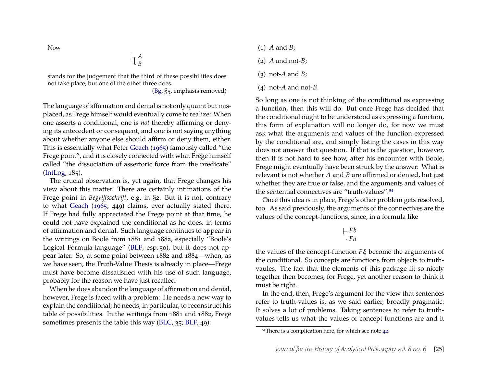Now

*A B*

stands for the judgement that the third of these possibilities does not take place, but one of the other three does.

[\(Bg,](#page-29-7) §5, emphasis removed)

The language of affirmation and denial is not only quaint but misplaced, as Frege himself would eventually come to realize: When one asserts a conditional, one is *not* thereby affirming or denying its antecedent or consequent, and one is not saying anything about whether anyone else should affirm or deny them, either. This is essentially what Peter [Geach](#page-29-21) [\(1965\)](#page-29-21) famously called "the Frege point", and it is closely connected with what Frege himself called "the dissociation of assertoric force from the predicate" [\(IntLog,](#page-29-10) 185).

The crucial observation is, yet again, that Frege changes his view about this matter. There are certainly intimations of the Frege point in *Begriffsschrift*, e.g, in §2. But it is not, contrary to what [Geach](#page-29-21) [\(1965,](#page-29-21) 449) claims, ever actually stated there. If Frege had fully appreciated the Frege point at that time, he could not have explained the conditional as he does, in terms of affirmation and denial. Such language continues to appear in the writings on Boole from 1881 and 1882, especially "Boole's Logical Formula-language" [\(BLF,](#page-29-16) esp. 50), but it does not appear later. So, at some point between 1882 and 1884—when, as we have seen, the Truth-Value Thesis is already in place—Frege must have become dissatisfied with his use of such language, probably for the reason we have just recalled.

When he does abandon the language of affirmation and denial, however, Frege is faced with a problem: He needs a new way to explain the conditional; he needs, in particular, to reconstruct his table of possibilities. In the writings from 1881 and 1882, Frege sometimes presents the table this way [\(BLC,](#page-29-9) 35; [BLF,](#page-29-16) 49):

- (1) *A* and *B*;
- (2) *A* and not-*B*;
- (3) not-*A* and *B*;
- (4) not-*A* and not-*B*.

So long as one is not thinking of the conditional as expressing a function, then this will do. But once Frege has decided that the conditional ought to be understood as expressing a function, this form of explanation will no longer do, for now we must ask what the arguments and values of the function expressed by the conditional are, and simply listing the cases in this way does not answer that question. If that is the question, however, then it is not hard to see how, after his encounter with Boole, Frege might eventually have been struck by the answer: What is relevant is not whether *A* and *B* are affirmed or denied, but just whether they are true or false, and the arguments and values of the sentential connectives are "truth-values".<sup>[54](#page-25-0)</sup>

Once this idea is in place, Frege's other problem gets resolved, too. As said previously, the arguments of the connectives are the values of the concept-functions, since, in a formula like

$$
\bigupharpoonright_{Fa}^{Fb}
$$

the values of the concept-function *F*ξ become the arguments of the conditional. So concepts are functions from objects to truthvaules. The fact that the elements of this package fit so nicely together then becomes, for Frege, yet another reason to think it must be right.

In the end, then, Frege's argument for the view that sentences refer to truth-values is, as we said earlier, broadly pragmatic: It solves a lot of problems. Taking sentences to refer to truthvalues tells us what the values of concept-functions are and it

<span id="page-25-0"></span><sup>&</sup>lt;sup>54</sup>There is a complication here, for which see note [42.](#page-20-0)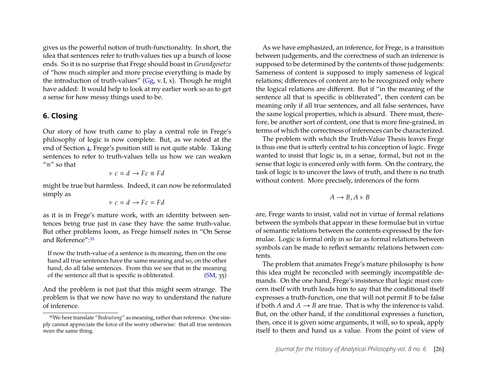gives us the powerful notion of truth-functionality. In short, the idea that sentences refer to truth-values ties up a bunch of loose ends. So it is no surprise that Frege should boast in *Grundgesetze* of "how much simpler and more precise everything is made by the introduction of truth-values" [\(Gg,](#page-29-6) v. I, x). Though he might have added: It would help to look at my earlier work so as to get a sense for how messy things used to be.

#### <span id="page-26-0"></span>**6. Closing**

Our story of how truth came to play a central role in Frege's philosophy of logic is now complete. But, as we noted at the end of Section [4,](#page-16-2) Frege's position still is not quite stable. Taking sentences to refer to truth-values tells us how we can weaken "≡" so that

$$
\vdash c = d \rightarrow Fc \equiv Fd
$$

might be true but harmless. Indeed, it can now be reformulated simply as

$$
\vdash c = d \rightarrow Fc = Fd
$$

as it is in Frege's mature work, with an identity between sentences being true just in case they have the same truth-value. But other problems loom, as Frege himself notes in "On Sense and Reference":[55](#page-26-1)

If now the truth-value of a sentence is its meaning, then on the one hand all true sentences have the same meaning and so, on the other hand, do all false sentences. From this we see that in the meaning of the sentence all that is specific is obliterated. [\(SM,](#page-29-0) 35)

And the problem is not just that this might seem strange. The problem is that we now have no way to understand the nature of inference.

As we have emphasized, an inference, for Frege, is a transition between judgements, and the correctness of such an inference is supposed to be determined by the contents of those judgements: Sameness of content is supposed to imply sameness of logical relations; differences of content are to be recognized only where the logical relations are different. But if "in the meaning of the sentence all that is specific is obliterated", then content can be meaning only if all true sentences, and all false sentences, have the same logical properties, which is absurd. There must, therefore, be another sort of content, one that is more fine-grained, in terms of which the correctness of inferences can be characterized.

The problem with which the Truth-Value Thesis leaves Frege is thus one that is utterly central to his conception of logic. Frege wanted to insist that logic is, in a sense, formal, but not in the sense that logic is concered only with form. On the contrary, the task of logic is to uncover the laws of truth, and there is no truth without content. More precisely, inferences of the form

$$
A \to B, A \vdash B
$$

are, Frege wants to insist, valid not in virtue of formal relations between the symbols that appear in these formulae but in virtue of semantic relations between the contents expressed by the formulae. Logic is formal only in so far as formal relations between symbols can be made to reflect semantic relations between contents.

The problem that animates Frege's mature philosophy is how this idea might be reconciled with seemingly incompatible demands. On the one hand, Frege's insistence that logic must concern itself with truth leads him to say that the conditional itself expresses a truth-function, one that will not permit *B* to be false if both *A* and  $A \rightarrow B$  are true. That is why the inference is valid. But, on the other hand, if the conditional expresses a function, then, once it is given some arguments, it will, so to speak, apply itself to them and hand us a value. From the point of view of

<span id="page-26-1"></span><sup>55</sup>We here translate "*Bedeutung*" as meaning, rather than reference. One simply cannot appreciate the force of the worry otherwise: that all true sentences *mean* the same thing.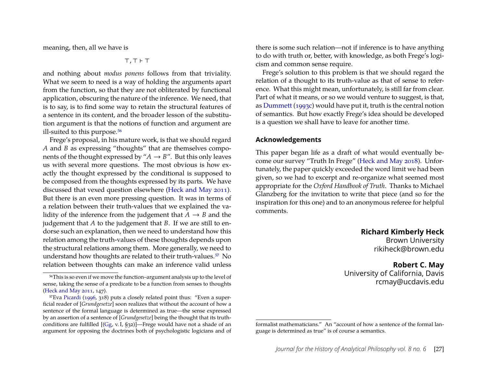meaning, then, all we have is

⊤, ⊤ ⊢ ⊤

and nothing about *modus ponens* follows from that triviality. What we seem to need is a way of holding the arguments apart from the function, so that they are not obliterated by functional application, obscuring the nature of the inference. We need, that is to say, is to find some way to retain the structural features of a sentence in its content, and the broader lesson of the substitution argument is that the notions of function and argument are ill-suited to this purpose.<sup>[56](#page-27-0)</sup>

Frege's proposal, in his mature work, is that we should regard *A* and *B* as expressing "thoughts" that are themselves components of the thought expressed by " $A \rightarrow B$ ". But this only leaves us with several more questions. The most obvious is how exactly the thought expressed by the conditional is supposed to be composed from the thoughts expressed by its parts. We have discussed that vexed question elsewhere [\(Heck and May 2011\)](#page-30-3). But there is an even more pressing question. It was in terms of a relation between their truth-values that we explained the validity of the inference from the judgement that  $A \rightarrow B$  and the judgement that *A* to the judgement that *B*. If we are still to endorse such an explanation, then we need to understand how this relation among the truth-values of these thoughts depends upon the structural relations among them. More generally, we need to understand how thoughts are related to their truth-values.[57](#page-27-1) No relation between thoughts can make an inference valid unless there is some such relation—not if inference is to have anything to do with truth or, better, with knowledge, as both Frege's logicism and common sense require.

Frege's solution to this problem is that we should regard the relation of a thought to its truth-value as that of sense to reference. What this might mean, unfortunately, is still far from clear. Part of what it means, or so we would venture to suggest, is that, as [Dummett](#page-28-18) [\(1993c\)](#page-28-18) would have put it, truth is the central notion of semantics. But how exactly Frege's idea should be developed is a question we shall have to leave for another time.

#### **Acknowledgements**

This paper began life as a draft of what would eventually become our survey "Truth In Frege" [\(Heck and May 2018\)](#page-30-0). Unfortunately, the paper quickly exceeded the word limit we had been given, so we had to excerpt and re-organize what seemed most appropriate for the *Oxford Handbook of Truth*. Thanks to Michael Glanzberg for the invitation to write that piece (and so for the inspiration for this one) and to an anonymous referee for helpful comments.

**Richard Kimberly Heck**

Brown University rikiheck@brown.edu

#### **Robert C. May**

University of California, Davis rcmay@ucdavis.edu

<span id="page-27-0"></span><sup>56</sup>This is so even if we move the function–argument analysis up to the level of sense, taking the sense of a predicate to be a function from senses to thoughts [\(Heck and May 2011,](#page-30-3) 147).

<span id="page-27-1"></span><sup>57</sup>Eva [Picardi](#page-31-20) [\(1996,](#page-31-20) 318) puts a closely related point thus: "Even a superficial reader of [*Grundgesetze*] soon realizes that without the account of how a sentence of the formal language is determined as true—the sense expressed by an assertion of a sentence of [*Grundgesetze*] being the thought that its truthconditions are fulfilled  $[(Gg, v. I, S32)]$  $[(Gg, v. I, S32)]$  $[(Gg, v. I, S32)]$ -Frege would have not a shade of an argument for opposing the doctrines both of psychologistic logicians and of

formalist mathematicians." An "account of how a sentence of the formal language is determined as true" is of course a semantics.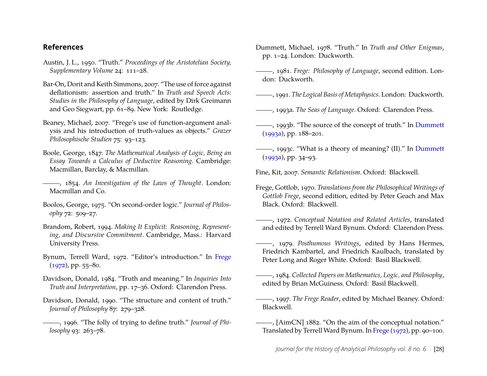#### **References**

- <span id="page-28-9"></span>Austin, J. L., 1950. "Truth." *Proceedings of the Aristotelian Society, Supplementary Volume* 24: 111–28.
- <span id="page-28-8"></span>Bar-On, Dorit and Keith Simmons, 2007. "The use of force against deflationism: assertion and truth." In *Truth and Speech Acts: Studies in the Philosophy of Language*, edited by Dirk Greimann and Geo Siegwart, pp. 61–89. New York: Routledge.
- <span id="page-28-10"></span>Beaney, Michael, 2007. "Frege's use of function-argument analysis and his introduction of truth-values as objects." *Grazer Philosophische Studien* 75: 93–123.
- <span id="page-28-15"></span>Boole, George, 1847. *The Mathematical Analysis of Logic, Being an Essay Towards a Calculus of Deductive Reasoning*. Cambridge: Macmillan, Barclay, & Macmillan.
- <span id="page-28-16"></span>, 1854. *An Investigation of the Laws of Thought*. London: Macmillan and Co.
- <span id="page-28-17"></span>Boolos, George, 1975. "On second-order logic." *Journal of Philosophy* 72: 509–27.
- <span id="page-28-11"></span>Brandom, Robert, 1994. *Making It Explicit: Reasoning, Representing, and Discursive Commitment*. Cambridge, Mass.: Harvard University Press.
- <span id="page-28-14"></span>Bynum, Terrell Ward, 1972. "Editor's introduction." In [Frege](#page-28-13) [\(1972\)](#page-28-13), pp. 55–80.
- <span id="page-28-2"></span>Davidson, Donald, 1984. "Truth and meaning." In *Inquiries Into Truth and Interpretation*, pp. 17–36. Oxford: Clarendon Press.
- <span id="page-28-3"></span>Davidson, Donald, 1990. "The structure and content of truth." *Journal of Philosophy* 87: 279–328.
- <span id="page-28-4"></span>, 1996. "The folly of trying to define truth." *Journal of Philosophy* 93: 263–78.
- <span id="page-28-5"></span>Dummett, Michael, 1978. "Truth." In *Truth and Other Enigmas*, pp. 1–24. London: Duckworth.
- <span id="page-28-0"></span>, 1981. *Frege: Philosophy of Language*, second edition. London: Duckworth.
- <span id="page-28-6"></span>, 1991. *The Logical Basis of Metaphysics*. London: Duckworth.
- <span id="page-28-19"></span>, 1993a. *The Seas of Language*. Oxford: Clarendon Press.
- <span id="page-28-7"></span>- 1993b. "The source of the concept of truth." In [Dummett](#page-28-19) [\(1993a\)](#page-28-19), pp. 188–201.
- <span id="page-28-18"></span>, 1993c. "What is a theory of meaning? (II)." In [Dummett](#page-28-19) [\(1993a\)](#page-28-19), pp. 34–93.

<span id="page-28-12"></span>Fine, Kit, 2007. *Semantic Relationism*. Oxford: Blackwell.

- Frege, Gottlob, 1970. *Translations from the Philosophical Writings of Gottlob Frege*, second edition, edited by Peter Geach and Max Black. Oxford: Blackwell.
- <span id="page-28-13"></span>, 1972. *Conceptual Notation and Related Articles*, translated and edited by Terrell Ward Bynum. Oxford: Clarendon Press.
- <span id="page-28-20"></span>, 1979. *Posthumous Writings*, edited by Hans Hermes, Friedrich Kambartel, and Friedrich Kaulbach, translated by Peter Long and Roger White. Oxford: Basil Blackwell.
- <span id="page-28-21"></span>, 1984. *Collected Papers on Mathematics, Logic, and Philosophy*, edited by Brian McGuiness. Oxford: Basil Blackwell.
- <span id="page-28-22"></span>, 1997. *The Frege Reader*, edited by Michael Beaney. Oxford: Blackwell.
- <span id="page-28-1"></span>, [AimCN] 1882. "On the aim of the conceptual notation." Translated by Terrell Ward Bynum. In [Frege](#page-28-13) [\(1972\)](#page-28-13), pp. 90–100.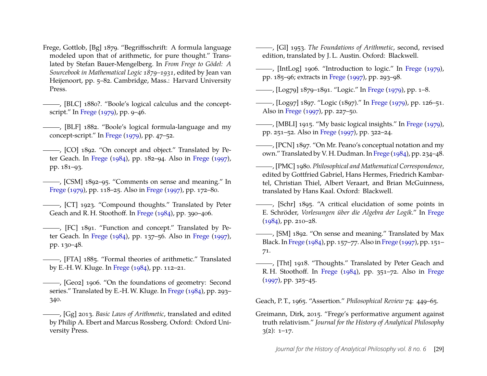<span id="page-29-7"></span>Frege, Gottlob, [Bg] 1879. "Begriffsschrift: A formula language modeled upon that of arithmetic, for pure thought." Translated by Stefan Bauer-Mengelberg. In *From Frege to Gödel: A Sourcebook in Mathematical Logic 1879–1931*, edited by Jean van Heijenoort, pp. 5–82. Cambridge, Mass.: Harvard University Press.

<span id="page-29-9"></span>, [BLC] 1880?. "Boole's logical calculus and the conceptscript." In [Frege](#page-28-20) [\(1979\)](#page-28-20), pp. 9–46.

<span id="page-29-16"></span>(BLF) 1882. "Boole's logical formula-language and my concept-script." In [Frege](#page-28-20) [\(1979\)](#page-28-20), pp. 47–52.

- <span id="page-29-17"></span>, [CO] 1892. "On concept and object." Translated by Peter Geach. In [Frege](#page-28-21) [\(1984\)](#page-28-21), pp. 182–94. Also in [Frege](#page-28-22) [\(1997\)](#page-28-22), pp. 181–93.
- <span id="page-29-18"></span>, [CSM] 1892–95. "Comments on sense and meaning." In [Frege](#page-28-20) [\(1979\)](#page-28-20), pp. 118–25. Also in [Frege](#page-28-22) [\(1997\)](#page-28-22), pp. 172–80.
- <span id="page-29-8"></span>, [CT] 1923. "Compound thoughts." Translated by Peter Geach and R. H. Stoothoff. In [Frege](#page-28-21) [\(1984\)](#page-28-21), pp. 390–406.
- <span id="page-29-15"></span>, [FC] 1891. "Function and concept." Translated by Peter Geach. In [Frege](#page-28-21) [\(1984\)](#page-28-21), pp. 137–56. Also in [Frege](#page-28-22) [\(1997\)](#page-28-22), pp. 130–48.
- <span id="page-29-19"></span>, [FTA] 1885. "Formal theories of arithmetic." Translated by E.-H. W. Kluge. In [Frege](#page-28-21) [\(1984\)](#page-28-21), pp. 112–21.
- <span id="page-29-5"></span>, [Geo2] 1906. "On the foundations of geometry: Second series." Translated by E.-H.W. Kluge. In [Frege](#page-28-21) [\(1984\)](#page-28-21), pp. 293– 340.
- <span id="page-29-6"></span>, [Gg] 2013. *Basic Laws of Arithmetic*, translated and edited by Philip A. Ebert and Marcus Rossberg. Oxford: Oxford University Press.

<span id="page-29-12"></span>, [Gl] 1953. *The Foundations of Arithmetic*, second, revised edition, translated by J. L. Austin. Oxford: Blackwell.

<span id="page-29-10"></span>, [IntLog] 1906. "Introduction to logic." In [Frege](#page-28-20) [\(1979\)](#page-28-20), pp. 185–96; extracts in [Frege](#page-28-22) [\(1997\)](#page-28-22), pp. 293–98.

<span id="page-29-11"></span>, [Log79] 1879–1891. "Logic." In [Frege](#page-28-20) [\(1979\)](#page-28-20), pp. 1–8.

<span id="page-29-4"></span>, [Log97] 1897. "Logic (1897)." In [Frege](#page-28-20) [\(1979\)](#page-28-20), pp. 126–51. Also in [Frege](#page-28-22) [\(1997\)](#page-28-22), pp. 227–50.

<span id="page-29-1"></span>, [MBLI] 1915. "My basic logical insights." In [Frege](#page-28-20) [\(1979\)](#page-28-20), pp. 251–52. Also in [Frege](#page-28-22) [\(1997\)](#page-28-22), pp. 322–24.

<span id="page-29-13"></span>(PCN] 1897. "On Mr. Peano's conceptual notation and my own." Translated by V. H. Dudman. In [Frege](#page-28-21) [\(1984\)](#page-28-21), pp. 234–48.

<span id="page-29-14"></span>, [PMC] 1980. *Philosophical and Mathematical Correspondence*, edited by Gottfried Gabriel, Hans Hermes, Friedrich Kambartel, Christian Thiel, Albert Veraart, and Brian McGuinness, translated by Hans Kaal. Oxford: Blackwell.

<span id="page-29-20"></span>, [Schr] 1895. "A critical elucidation of some points in E. Schröder, *Vorlesungen über die Algebra der Logik*." In [Frege](#page-28-21) [\(1984\)](#page-28-21), pp. 210–28.

<span id="page-29-0"></span>, [SM] 1892. "On sense and meaning." Translated by Max Black. In [Frege](#page-28-21) [\(1984\)](#page-28-21), pp. 157–77. Also in [Frege](#page-28-22) [\(1997\)](#page-28-22), pp. 151– 71.

<span id="page-29-2"></span>, [Tht] 1918. "Thoughts." Translated by Peter Geach and R. H. Stoothoff. In [Frege](#page-28-21) [\(1984\)](#page-28-21), pp. 351–72. Also in [Frege](#page-28-22) [\(1997\)](#page-28-22), pp. 325–45.

<span id="page-29-21"></span>Geach, P. T., 1965. "Assertion." *Philosophical Review* 74: 449–65.

<span id="page-29-3"></span>Greimann, Dirk, 2015. "Frege's performative argument against truth relativism." *Journal for the History of Analytical Philosophy*  $3(2): 1-17.$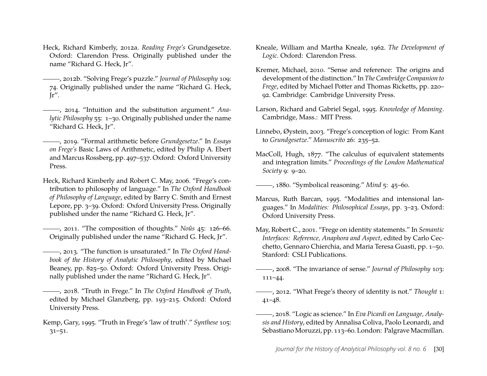- <span id="page-30-6"></span>Heck, Richard Kimberly, 2012a. *Reading Frege's* Grundgesetze. Oxford: Clarendon Press. Originally published under the name "Richard G. Heck, Jr".
- <span id="page-30-14"></span>, 2012b. "Solving Frege's puzzle." *Journal of Philosophy* 109: 74. Originally published under the name "Richard G. Heck, Jr".
- <span id="page-30-7"></span>, 2014. "Intuition and the substitution argument." *Analytic Philosophy* 55: 1–30. Originally published under the name "Richard G. Heck, Jr".
- <span id="page-30-12"></span>, 2019. "Formal arithmetic before *Grundgesetze*." In *Essays on Frege's* Basic Laws of Arithmetic, edited by Philip A. Ebert and Marcus Rossberg, pp. 497–537. Oxford: Oxford University Press.
- <span id="page-30-9"></span>Heck, Richard Kimberly and Robert C. May, 2006. "Frege's contribution to philosophy of language." In *The Oxford Handbook of Philosophy of Language*, edited by Barry C. Smith and Ernest Lepore, pp. 3–39. Oxford: Oxford University Press. Originally published under the name "Richard G. Heck, Jr".
- <span id="page-30-3"></span>, 2011. "The composition of thoughts." *Noûs* 45: 126–66. Originally published under the name "Richard G. Heck, Jr".
- <span id="page-30-4"></span>, 2013. "The function is unsaturated." In *The Oxford Handbook of the History of Analytic Philosophy*, edited by Michael Beaney, pp. 825–50. Oxford: Oxford University Press. Originally published under the name "Richard G. Heck, Jr".
- <span id="page-30-0"></span>, 2018. "Truth in Frege." In *The Oxford Handbook of Truth*, edited by Michael Glanzberg, pp. 193–215. Oxford: Oxford University Press.
- <span id="page-30-1"></span>Kemp, Gary, 1995. "Truth in Frege's 'law of truth'." *Synthese* 105: 31–51.
- <span id="page-30-17"></span>Kneale, William and Martha Kneale, 1962. *The Development of Logic*. Oxford: Clarendon Press.
- <span id="page-30-8"></span>Kremer, Michael, 2010. "Sense and reference: The origins and development of the distinction." In *The Cambridge Companion to Frege*, edited by Michael Potter and Thomas Ricketts, pp. 220– 92. Cambridge: Cambridge University Press.
- <span id="page-30-5"></span>Larson, Richard and Gabriel Segal, 1995. *Knowledge of Meaning*. Cambridge, Mass.: MIT Press.
- <span id="page-30-18"></span>Linnebo, Øystein, 2003. "Frege's conception of logic: From Kant to *Grundgesetze*." *Manuscrito* 26: 235–52.
- <span id="page-30-19"></span>MacColl, Hugh, 1877. "The calculus of equivalent statements and integration limits." *Proceedings of the London Mathematical Society* 9: 9–20.

<span id="page-30-16"></span>, 1880. "Symbolical reasoning." *Mind* 5: 45–60.

- <span id="page-30-13"></span>Marcus, Ruth Barcan, 1995. "Modalities and intensional languages." In *Modalities: Philosophical Essays*, pp. 3–23. Oxford: Oxford University Press.
- <span id="page-30-11"></span>May, Robert C., 2001. "Frege on identity statements." In *Semantic Interfaces: Reference, Anaphora and Aspect*, edited by Carlo Cecchetto, Gennaro Chierchia, and Maria Teresa Guasti, pp. 1–50. Stanford: CSLI Publications.
- <span id="page-30-10"></span>, 2008. "The invariance of sense." *Journal of Philosophy* 103: 111–44.
- <span id="page-30-15"></span>, 2012. "What Frege's theory of identity is not." *Thought* 1: 41–48.
- <span id="page-30-2"></span>, 2018. "Logic as science." In *Eva Picardi on Language, Analysis and History*, edited by Annalisa Coliva, Paolo Leonardi, and Sebastiano Moruzzi, pp. 113-60. London: Palgrave Macmillan.